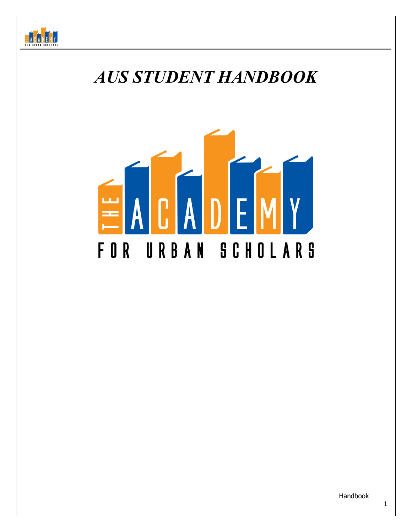

# *AUS STUDENT HANDBOOK*

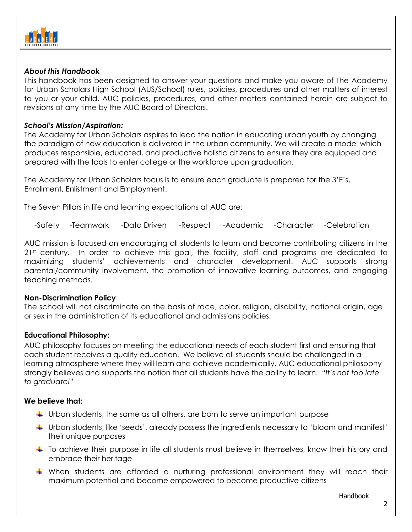

## *About this Handbook*

This handbook has been designed to answer your questions and make you aware of The Academy for Urban Scholars High School (AUS/School) rules, policies, procedures and other matters of interest to you or your child. AUC policies, procedures, and other matters contained herein are subject to revisions at any time by the AUC Board of Directors.

## *School's Mission/Aspiration:*

The Academy for Urban Scholars aspires to lead the nation in educating urban youth by changing the paradigm of how education is delivered in the urban community. We will create a model which produces responsible, educated, and productive holistic citizens to ensure they are equipped and prepared with the tools to enter college or the workforce upon graduation.

The Academy for Urban Scholars focus is to ensure each graduate is prepared for the 3'E's, Enrollment, Enlistment and Employment.

The Seven Pillars in life and learning expectations at AUC are:

-Safety -Teamwork -Data Driven -Respect -Academic -Character -Celebration

AUC mission is focused on encouraging all students to learn and become contributing citizens in the 2<sup>1st</sup> century. In order to achieve this goal, the facility, staff and programs are dedicated to maximizing students' achievements and character development. AUC supports strong parental/community involvement, the promotion of innovative learning outcomes, and engaging teaching methods.

## **Non-Discrimination Policy**

The school will not discriminate on the basis of race, color, religion, disability, national origin, age or sex in the administration of its educational and admissions policies.

## **Educational Philosophy:**

AUC philosophy focuses on meeting the educational needs of each student first and ensuring that each student receives a quality education. We believe all students should be challenged in a learning atmosphere where they will learn and achieve academically. AUC educational philosophy strongly believes and supports the notion that all students have the ability to learn. *"It's not too late to graduate!"*

## **We believe that:**

- $\ddot{\phantom{1}}$  Urban students, the same as all others, are born to serve an important purpose
- Urban students, like 'seeds', already possess the ingredients necessary to 'bloom and manifest' their unique purposes
- $\ddot{\phantom{1}}$  To achieve their purpose in life all students must believe in themselves, know their history and embrace their heritage
- When students are afforded a nurturing professional environment they will reach their maximum potential and become empowered to become productive citizens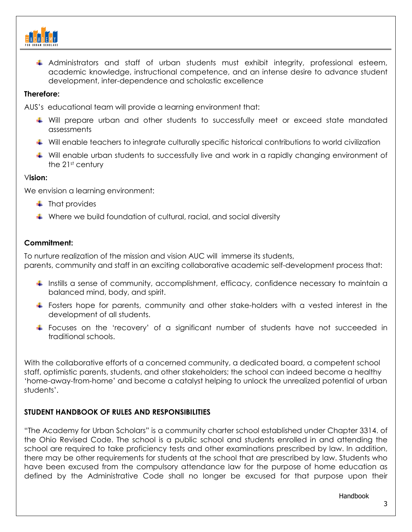

Administrators and staff of urban students must exhibit integrity, professional esteem, academic knowledge, instructional competence, and an intense desire to advance student development, inter-dependence and scholastic excellence

## **Therefore:**

AUS's educational team will provide a learning environment that:

- Will prepare urban and other students to successfully meet or exceed state mandated assessments
- Will enable teachers to integrate culturally specific historical contributions to world civilization
- Will enable urban students to successfully live and work in a rapidly changing environment of the 21<sup>st</sup> century

## V**ision:**

We envision a learning environment:

- $\ddot{\bullet}$  That provides
- Where we build foundation of cultural, racial, and social diversity

# **Commitment:**

To nurture realization of the mission and vision AUC will immerse its students, parents, community and staff in an exciting collaborative academic self-development process that:

- **If instills a sense of community, accomplishment, efficacy, confidence necessary to maintain a** balanced mind, body, and spirit.
- Fosters hope for parents, community and other stake-holders with a vested interest in the development of all students.
- Focuses on the 'recovery' of a significant number of students have not succeeded in traditional schools.

With the collaborative efforts of a concerned community, a dedicated board, a competent school staff, optimistic parents, students, and other stakeholders; the school can indeed become a healthy 'home-away-from-home' and become a catalyst helping to unlock the unrealized potential of urban students'.

# **STUDENT HANDBOOK OF RULES AND RESPONSIBILITIES**

"The Academy for Urban Scholars" is a community charter school established under Chapter 3314. of the Ohio Revised Code. The school is a public school and students enrolled in and attending the school are required to take proficiency tests and other examinations prescribed by law. In addition, there may be other requirements for students at the school that are prescribed by law. Students who have been excused from the compulsory attendance law for the purpose of home education as defined by the Administrative Code shall no longer be excused for that purpose upon their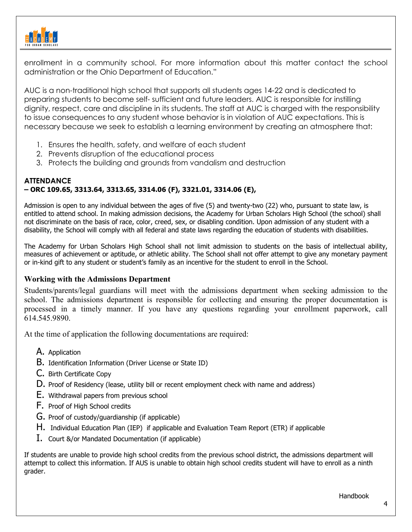

enrollment in a community school. For more information about this matter contact the school administration or the Ohio Department of Education."

AUC is a non-traditional high school that supports all students ages 14-22 and is dedicated to preparing students to become self- sufficient and future leaders. AUC is responsible for instilling dignity, respect, care and discipline in its students. The staff at AUC is charged with the responsibility to issue consequences to any student whose behavior is in violation of AUC expectations. This is necessary because we seek to establish a learning environment by creating an atmosphere that:

- 1. Ensures the health, safety, and welfare of each student
- 2. Prevents disruption of the educational process
- 3. Protects the building and grounds from vandalism and destruction

## **ATTENDANCE – ORC 109.65, 3313.64, 3313.65, 3314.06 (F), 3321.01, 3314.06 (E),**

Admission is open to any individual between the ages of five (5) and twenty-two (22) who, pursuant to state law, is entitled to attend school. In making admission decisions, the Academy for Urban Scholars High School (the school) shall not discriminate on the basis of race, color, creed, sex, or disabling condition. Upon admission of any student with a disability, the School will comply with all federal and state laws regarding the education of students with disabilities.

The Academy for Urban Scholars High School shall not limit admission to students on the basis of intellectual ability, measures of achievement or aptitude, or athletic ability. The School shall not offer attempt to give any monetary payment or in-kind gift to any student or student's family as an incentive for the student to enroll in the School.

## **Working with the Admissions Department**

Students/parents/legal guardians will meet with the admissions department when seeking admission to the school. The admissions department is responsible for collecting and ensuring the proper documentation is processed in a timely manner. If you have any questions regarding your enrollment paperwork, call 614.545.9890.

At the time of application the following documentations are required:

- A. Application
- B. Identification Information (Driver License or State ID)
- C. Birth Certificate Copy
- D. Proof of Residency (lease, utility bill or recent employment check with name and address)
- E. Withdrawal papers from previous school
- F. Proof of High School credits
- G. Proof of custody/guardianship (if applicable)
- H. Individual Education Plan (IEP) if applicable and Evaluation Team Report (ETR) if applicable
- I. Court &/or Mandated Documentation (if applicable)

If students are unable to provide high school credits from the previous school district, the admissions department will attempt to collect this information. If AUS is unable to obtain high school credits student will have to enroll as a ninth grader.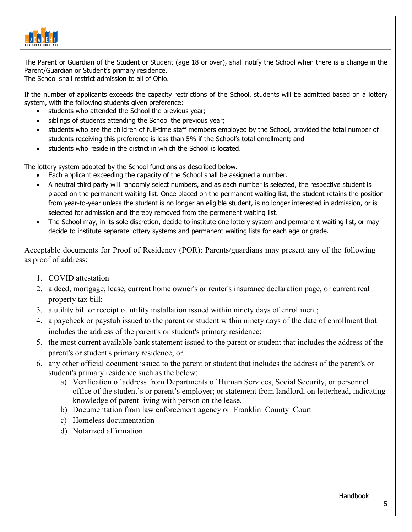

The Parent or Guardian of the Student or Student (age 18 or over), shall notify the School when there is a change in the Parent/Guardian or Student's primary residence.

The School shall restrict admission to all of Ohio.

If the number of applicants exceeds the capacity restrictions of the School, students will be admitted based on a lottery system, with the following students given preference:

- students who attended the School the previous year;
- siblings of students attending the School the previous year;
- students who are the children of full-time staff members employed by the School, provided the total number of students receiving this preference is less than 5% if the School's total enrollment; and
- students who reside in the district in which the School is located.

The lottery system adopted by the School functions as described below.

- Each applicant exceeding the capacity of the School shall be assigned a number.
- A neutral third party will randomly select numbers, and as each number is selected, the respective student is placed on the permanent waiting list. Once placed on the permanent waiting list, the student retains the position from year-to-year unless the student is no longer an eligible student, is no longer interested in admission, or is selected for admission and thereby removed from the permanent waiting list.
- The School may, in its sole discretion, decide to institute one lottery system and permanent waiting list, or may decide to institute separate lottery systems and permanent waiting lists for each age or grade.

Acceptable documents for Proof of Residency (POR): Parents/guardians may present any of the following as proof of address:

- 1. COVID attestation
- 2. a deed, mortgage, lease, current home owner's or renter's insurance declaration page, or current real property tax bill;
- 3. a utility bill or receipt of utility installation issued within ninety days of enrollment;
- 4. a paycheck or paystub issued to the parent or student within ninety days of the date of enrollment that includes the address of the parent's or student's primary residence;
- 5. the most current available bank statement issued to the parent or student that includes the address of the parent's or student's primary residence; or
- 6. any other official document issued to the parent or student that includes the address of the parent's or student's primary residence such as the below:
	- a) Verification of address from Departments of Human Services, Social Security, or personnel office of the student's or parent's employer; or statement from landlord, on letterhead, indicating knowledge of parent living with person on the lease.
	- b) Documentation from law enforcement agency or Franklin County Court
	- c) Homeless documentation
	- d) Notarized affirmation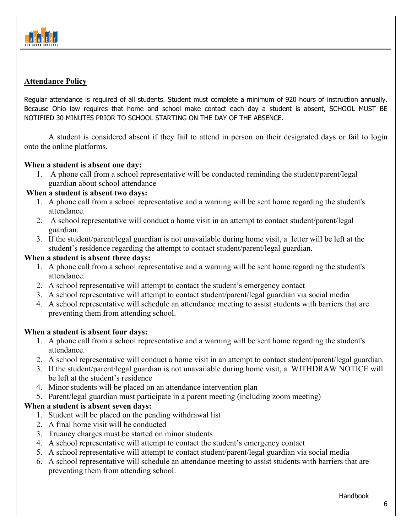

## **Attendance Policy**

Regular attendance is required of all students. Student must complete a minimum of 920 hours of instruction annually. Because Ohio law requires that home and school make contact each day a student is absent, SCHOOL MUST BE NOTIFIED 30 MINUTES PRIOR TO SCHOOL STARTING ON THE DAY OF THE ABSENCE.

A student is considered absent if they fail to attend in person on their designated days or fail to login onto the online platforms.

## **When a student is absent one day:**

1. A phone call from a school representative will be conducted reminding the student/parent/legal guardian about school attendance

## **When a student is absent two days:**

- 1. A phone call from a school representative and a warning will be sent home regarding the student's attendance.
- 2. A school representative will conduct a home visit in an attempt to contact student/parent/legal guardian.
- 3. If the student/parent/legal guardian is not unavailable during home visit, a letter will be left at the student's residence regarding the attempt to contact student/parent/legal guardian.

## **When a student is absent three days:**

- 1. A phone call from a school representative and a warning will be sent home regarding the student's attendance.
- 2. A school representative will attempt to contact the student's emergency contact
- 3. A school representative will attempt to contact student/parent/legal guardian via social media
- 4. A school representative will schedule an attendance meeting to assist students with barriers that are preventing them from attending school.

## **When a student is absent four days:**

- 1. A phone call from a school representative and a warning will be sent home regarding the student's attendance.
- 2. A school representative will conduct a home visit in an attempt to contact student/parent/legal guardian.
- 3. If the student/parent/legal guardian is not unavailable during home visit, a WITHDRAW NOTICE will be left at the student's residence
- 4. Minor students will be placed on an attendance intervention plan
- 5. Parent/legal guardian must participate in a parent meeting (including zoom meeting)

## **When a student is absent seven days:**

- 1. Student will be placed on the pending withdrawal list
- 2. A final home visit will be conducted
- 3. Truancy charges must be started on minor students
- 4. A school representative will attempt to contact the student's emergency contact
- 5. A school representative will attempt to contact student/parent/legal guardian via social media
- 6. A school representative will schedule an attendance meeting to assist students with barriers that are preventing them from attending school.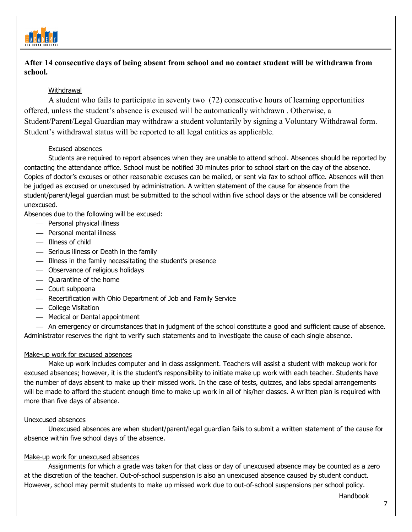

## **After 14 consecutive days of being absent from school and no contact student will be withdrawn from school.**

## **Withdrawal**

A student who fails to participate in seventy two (72) consecutive hours of learning opportunities offered, unless the student's absence is excused will be automatically withdrawn . Otherwise, a Student/Parent/Legal Guardian may withdraw a student voluntarily by signing a Voluntary Withdrawal form. Student's withdrawal status will be reported to all legal entities as applicable.

#### Excused absences

Students are required to report absences when they are unable to attend school. Absences should be reported by contacting the attendance office. School must be notified 30 minutes prior to school start on the day of the absence. Copies of doctor's excuses or other reasonable excuses can be mailed, or sent via fax to school office. Absences will then be judged as excused or unexcused by administration. A written statement of the cause for absence from the student/parent/legal guardian must be submitted to the school within five school days or the absence will be considered unexcused.

Absences due to the following will be excused:

- Personal physical illness
- Personal mental illness
- $-$  Illness of child
- Serious illness or Death in the family
- Illness in the family necessitating the student's presence
- Observance of religious holidays
- Quarantine of the home
- Court subpoena
- Recertification with Ohio Department of Job and Family Service
- College Visitation
- Medical or Dental appointment

 An emergency or circumstances that in judgment of the school constitute a good and sufficient cause of absence. Administrator reserves the right to verify such statements and to investigate the cause of each single absence.

## Make-up work for excused absences

Make up work includes computer and in class assignment. Teachers will assist a student with makeup work for excused absences; however, it is the student's responsibility to initiate make up work with each teacher. Students have the number of days absent to make up their missed work. In the case of tests, quizzes, and labs special arrangements will be made to afford the student enough time to make up work in all of his/her classes. A written plan is required with more than five days of absence.

#### Unexcused absences

Unexcused absences are when student/parent/legal guardian fails to submit a written statement of the cause for absence within five school days of the absence.

#### Make-up work for unexcused absences

Assignments for which a grade was taken for that class or day of unexcused absence may be counted as a zero at the discretion of the teacher. Out-of-school suspension is also an unexcused absence caused by student conduct. However, school may permit students to make up missed work due to out-of-school suspensions per school policy.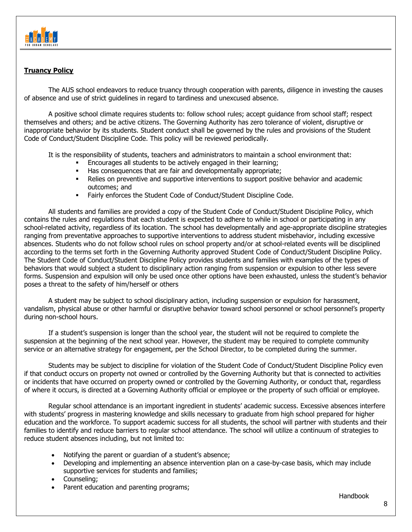

## **Truancy Policy**

The AUS school endeavors to reduce truancy through cooperation with parents, diligence in investing the causes of absence and use of strict guidelines in regard to tardiness and unexcused absence.

A positive school climate requires students to: follow school rules; accept guidance from school staff; respect themselves and others; and be active citizens. The Governing Authority has zero tolerance of violent, disruptive or inappropriate behavior by its students. Student conduct shall be governed by the rules and provisions of the Student Code of Conduct/Student Discipline Code. This policy will be reviewed periodically.

It is the responsibility of students, teachers and administrators to maintain a school environment that:

- Encourages all students to be actively engaged in their learning;
- Has consequences that are fair and developmentally appropriate;
- Relies on preventive and supportive interventions to support positive behavior and academic outcomes; and
- Fairly enforces the Student Code of Conduct/Student Discipline Code.

All students and families are provided a copy of the Student Code of Conduct/Student Discipline Policy, which contains the rules and regulations that each student is expected to adhere to while in school or participating in any school-related activity, regardless of its location. The school has developmentally and age-appropriate discipline strategies ranging from preventative approaches to supportive interventions to address student misbehavior, including excessive absences. Students who do not follow school rules on school property and/or at school-related events will be disciplined according to the terms set forth in the Governing Authority approved Student Code of Conduct/Student Discipline Policy. The Student Code of Conduct/Student Discipline Policy provides students and families with examples of the types of behaviors that would subject a student to disciplinary action ranging from suspension or expulsion to other less severe forms. Suspension and expulsion will only be used once other options have been exhausted, unless the student's behavior poses a threat to the safety of him/herself or others

A student may be subject to school disciplinary action, including suspension or expulsion for harassment, vandalism, physical abuse or other harmful or disruptive behavior toward school personnel or school personnel's property during non-school hours.

If a student's suspension is longer than the school year, the student will not be required to complete the suspension at the beginning of the next school year. However, the student may be required to complete community service or an alternative strategy for engagement, per the School Director, to be completed during the summer.

Students may be subject to discipline for violation of the Student Code of Conduct/Student Discipline Policy even if that conduct occurs on property not owned or controlled by the Governing Authority but that is connected to activities or incidents that have occurred on property owned or controlled by the Governing Authority, or conduct that, regardless of where it occurs, is directed at a Governing Authority official or employee or the property of such official or employee.

Regular school attendance is an important ingredient in students' academic success. Excessive absences interfere with students' progress in mastering knowledge and skills necessary to graduate from high school prepared for higher education and the workforce. To support academic success for all students, the school will partner with students and their families to identify and reduce barriers to regular school attendance. The school will utilize a continuum of strategies to reduce student absences including, but not limited to:

- Notifying the parent or guardian of a student's absence;
- Developing and implementing an absence intervention plan on a case-by-case basis, which may include supportive services for students and families;
- Counseling;
- Parent education and parenting programs;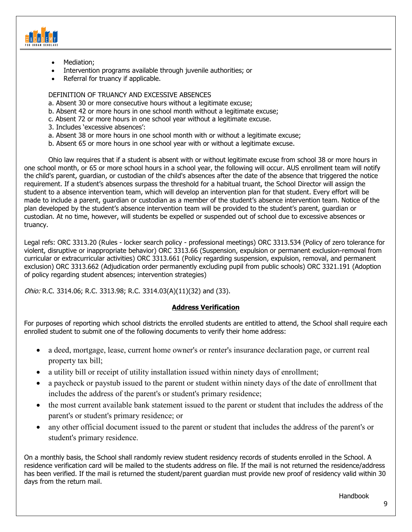

- Mediation;
- Intervention programs available through juvenile authorities; or
- Referral for truancy if applicable.

#### DEFINITION OF TRUANCY AND EXCESSIVE ABSENCES

- a. Absent 30 or more consecutive hours without a legitimate excuse;
- b. Absent 42 or more hours in one school month without a legitimate excuse;
- c. Absent 72 or more hours in one school year without a legitimate excuse.
- 3. Includes 'excessive absences':
- a. Absent 38 or more hours in one school month with or without a legitimate excuse;
- b. Absent 65 or more hours in one school year with or without a legitimate excuse.

Ohio law requires that if a student is absent with or without legitimate excuse from school 38 or more hours in one school month, or 65 or more school hours in a school year, the following will occur. AUS enrollment team will notify the child's parent, guardian, or custodian of the child's absences after the date of the absence that triggered the notice requirement. If a student's absences surpass the threshold for a habitual truant, the School Director will assign the student to a absence intervention team, which will develop an intervention plan for that student. Every effort will be made to include a parent, guardian or custodian as a member of the student's absence intervention team. Notice of the plan developed by the student's absence intervention team will be provided to the student's parent, guardian or custodian. At no time, however, will students be expelled or suspended out of school due to excessive absences or truancy.

Legal refs: ORC 3313.20 (Rules - locker search policy - professional meetings) ORC 3313.534 (Policy of zero tolerance for violent, disruptive or inappropriate behavior) ORC 3313.66 (Suspension, expulsion or permanent exclusion-removal from curricular or extracurricular activities) ORC 3313.661 (Policy regarding suspension, expulsion, removal, and permanent exclusion) ORC 3313.662 (Adjudication order permanently excluding pupil from public schools) ORC 3321.191 (Adoption of policy regarding student absences; intervention strategies)

Ohio: R.C. 3314.06; R.C. 3313.98; R.C. 3314.03(A)(11)(32) and (33).

## **Address Verification**

For purposes of reporting which school districts the enrolled students are entitled to attend, the School shall require each enrolled student to submit one of the following documents to verify their home address:

- a deed, mortgage, lease, current home owner's or renter's insurance declaration page, or current real property tax bill;
- a utility bill or receipt of utility installation issued within ninety days of enrollment;
- a paycheck or paystub issued to the parent or student within ninety days of the date of enrollment that includes the address of the parent's or student's primary residence;
- the most current available bank statement issued to the parent or student that includes the address of the parent's or student's primary residence; or
- any other official document issued to the parent or student that includes the address of the parent's or student's primary residence.

On a monthly basis, the School shall randomly review student residency records of students enrolled in the School. A residence verification card will be mailed to the students address on file. If the mail is not returned the residence/address has been verified. If the mail is returned the student/parent guardian must provide new proof of residency valid within 30 days from the return mail.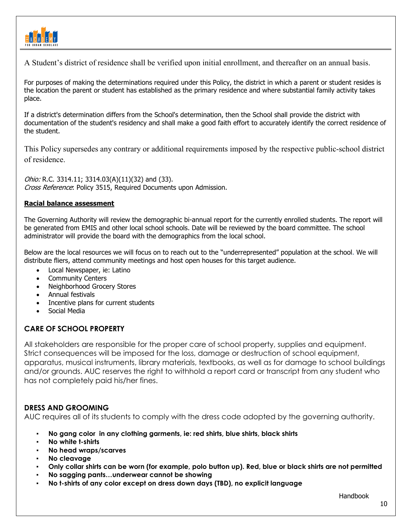

A Student's district of residence shall be verified upon initial enrollment, and thereafter on an annual basis.

For purposes of making the determinations required under this Policy, the district in which a parent or student resides is the location the parent or student has established as the primary residence and where substantial family activity takes place.

If a district's determination differs from the School's determination, then the School shall provide the district with documentation of the student's residency and shall make a good faith effort to accurately identify the correct residence of the student.

This Policy supersedes any contrary or additional requirements imposed by the respective public-school district of residence.

Ohio: R.C. 3314.11; 3314.03(A)(11)(32) and (33). Cross Reference: Policy 3515, Required Documents upon Admission.

## **Racial balance assessment**

The Governing Authority will review the demographic bi-annual report for the currently enrolled students. The report will be generated from EMIS and other local school schools. Date will be reviewed by the board committee. The school administrator will provide the board with the demographics from the local school.

Below are the local resources we will focus on to reach out to the "underrepresented" population at the school. We will distribute fliers, attend community meetings and host open houses for this target audience.

- Local Newspaper, ie: Latino
- Community Centers
- Neighborhood Grocery Stores
- Annual festivals
- Incentive plans for current students
- Social Media

## **CARE OF SCHOOL PROPERTY**

All stakeholders are responsible for the proper care of school property, supplies and equipment. Strict consequences will be imposed for the loss, damage or destruction of school equipment, apparatus, musical instruments, library materials, textbooks, as well as for damage to school buildings and/or grounds. AUC reserves the right to withhold a report card or transcript from any student who has not completely paid his/her fines.

## **DRESS AND GROOMING**

AUC requires all of its students to comply with the dress code adopted by the governing authority.

- **No gang color in any clothing garments, ie: red shirts, blue shirts, black shirts**
- **No white t-shirts**
- **No head wraps/scarves**
- No cleavage
- **Only collar shirts can be worn (for example, polo button up). Red, blue or black shirts are not permitted**
- No sagging pants...underwear cannot be showing
- **No t-shirts of any color except on dress down days (TBD), no explicit language**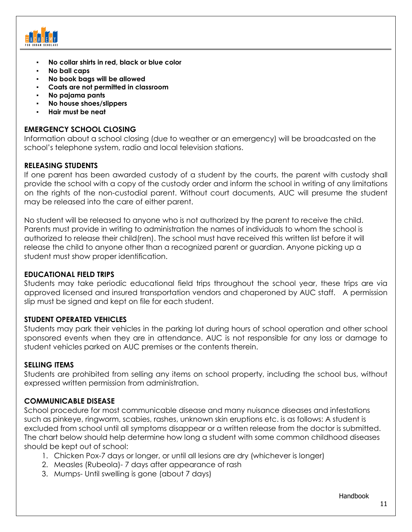

- No collar shirts in red, black or blue color
- **No ball caps**
- **No book bags will be allowed**
- **Coats are not permitted in classroom**
- **No pajama pants**
- **No house shoes/slippers**
- **Hair must be neat**

## **EMERGENCY SCHOOL CLOSING**

Information about a school closing (due to weather or an emergency) will be broadcasted on the school's telephone system, radio and local television stations.

## **RELEASING STUDENTS**

If one parent has been awarded custody of a student by the courts, the parent with custody shall provide the school with a copy of the custody order and inform the school in writing of any limitations on the rights of the non-custodial parent. Without court documents, AUC will presume the student may be released into the care of either parent.

No student will be released to anyone who is not authorized by the parent to receive the child. Parents must provide in writing to administration the names of individuals to whom the school is authorized to release their child(ren). The school must have received this written list before it will release the child to anyone other than a recognized parent or guardian. Anyone picking up a student must show proper identification.

## **EDUCATIONAL FIELD TRIPS**

Students may take periodic educational field trips throughout the school year, these trips are via approved licensed and insured transportation vendors and chaperoned by AUC staff. A permission slip must be signed and kept on file for each student.

## **STUDENT OPERATED VEHICLES**

Students may park their vehicles in the parking lot during hours of school operation and other school sponsored events when they are in attendance. AUC is not responsible for any loss or damage to student vehicles parked on AUC premises or the contents therein.

## **SELLING ITEMS**

Students are prohibited from selling any items on school property, including the school bus, without expressed written permission from administration.

## **COMMUNICABLE DISEASE**

School procedure for most communicable disease and many nuisance diseases and infestations such as pinkeye, ringworm, scabies, rashes, unknown skin eruptions etc. is as follows: A student is excluded from school until all symptoms disappear or a written release from the doctor is submitted. The chart below should help determine how long a student with some common childhood diseases should be kept out of school:

- 1. Chicken Pox-7 days or longer, or until all lesions are dry (whichever is longer)
- 2. Measles (Rubeola)- 7 days after appearance of rash
- 3. Mumps- Until swelling is gone (about 7 days)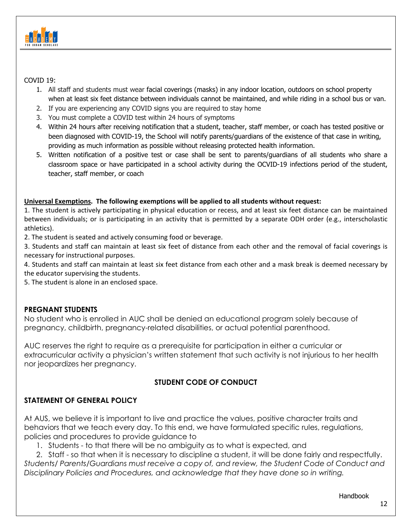

COVID 19:

- 1. All staff and students must wear facial coverings (masks) in any indoor location, outdoors on school property when at least six feet distance between individuals cannot be maintained, and while riding in a school bus or van.
- 2. If you are experiencing any COVID signs you are required to stay home
- 3. You must complete a COVID test within 24 hours of symptoms
- 4. Within 24 hours after receiving notification that a student, teacher, staff member, or coach has tested positive or been diagnosed with COVID-19, the School will notify parents/guardians of the existence of that case in writing, providing as much information as possible without releasing protected health information.
- 5. Written notification of a positive test or case shall be sent to parents/guardians of all students who share a classroom space or have participated in a school activity during the OCVID-19 infections period of the student, teacher, staff member, or coach

## **Universal Exemptions. The following exemptions will be applied to all students without request:**

1. The student is actively participating in physical education or recess, and at least six feet distance can be maintained between individuals; or is participating in an activity that is permitted by a separate ODH order (e.g., interscholastic athletics).

2. The student is seated and actively consuming food or beverage.

3. Students and staff can maintain at least six feet of distance from each other and the removal of facial coverings is necessary for instructional purposes.

4. Students and staff can maintain at least six feet distance from each other and a mask break is deemed necessary by the educator supervising the students.

5. The student is alone in an enclosed space.

## **PREGNANT STUDENTS**

No student who is enrolled in AUC shall be denied an educational program solely because of pregnancy, childbirth, pregnancy-related disabilities, or actual potential parenthood.

AUC reserves the right to require as a prerequisite for participation in either a curricular or extracurricular activity a physician's written statement that such activity is not injurious to her health nor jeopardizes her pregnancy.

# **STUDENT CODE OF CONDUCT**

# **STATEMENT OF GENERAL POLICY**

At AUS, we believe it is important to live and practice the values, positive character traits and behaviors that we teach every day. To this end, we have formulated specific rules, regulations, policies and procedures to provide guidance to

1. Students - to that there will be no ambiguity as to what is expected, and

2. Staff - so that when it is necessary to discipline a student, it will be done fairly and respectfully. *Students/ Parents/Guardians must receive a copy of, and review, the Student Code of Conduct and Disciplinary Policies and Procedures, and acknowledge that they have done so in writing.*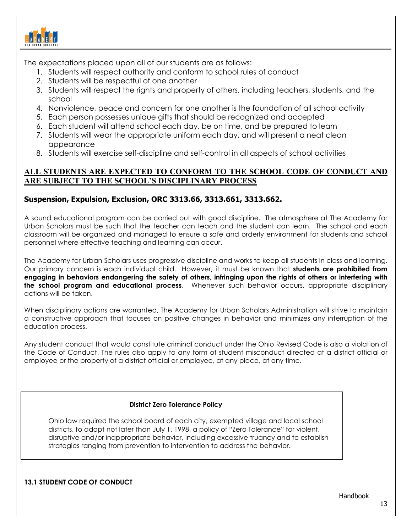

The expectations placed upon all of our students are as follows:

- 1. Students will respect authority and conform to school rules of conduct
- 2. Students will be respectful of one another
- 3. Students will respect the rights and property of others, including teachers, students, and the school
- 4. Nonviolence, peace and concern for one another is the foundation of all school activity
- 5. Each person possesses unique gifts that should be recognized and accepted
- 6. Each student will attend school each day, be on time, and be prepared to learn
- 7. Students will wear the appropriate uniform each day, and will present a neat clean appearance
- 8. Students will exercise self-discipline and self-control in all aspects of school activities

## **ALL STUDENTS ARE EXPECTED TO CONFORM TO THE SCHOOL CODE OF CONDUCT AND ARE SUBJECT TO THE SCHOOL'S DISCIPLINARY PROCESS**

## **Suspension, Expulsion, Exclusion, ORC 3313.66, 3313.661, 3313.662.**

A sound educational program can be carried out with good discipline. The atmosphere at The Academy for Urban Scholars must be such that the teacher can teach and the student can learn. The school and each classroom will be organized and managed to ensure a safe and orderly environment for students and school personnel where effective teaching and learning can occur.

The Academy for Urban Scholars uses progressive discipline and works to keep all students in class and learning. Our primary concern is each individual child. However, it must be known that **students are prohibited from engaging in behaviors endangering the safety of others, infringing upon the rights of others or interfering with the school program and educational process**. Whenever such behavior occurs, appropriate disciplinary actions will be taken.

When disciplinary actions are warranted, The Academy for Urban Scholars Administration will strive to maintain a constructive approach that focuses on positive changes in behavior and minimizes any interruption of the education process.

Any student conduct that would constitute criminal conduct under the Ohio Revised Code is also a violation of the Code of Conduct. The rules also apply to any form of student misconduct directed at a district official or employee or the property of a district official or employee, at any place, at any time.

## **District Zero Tolerance Policy**

Ohio law required the school board of each city, exempted village and local school districts, to adopt not later than July 1, 1998, a policy of "Zero Tolerance" for violent, disruptive and/or inappropriate behavior, including excessive truancy and to establish strategies ranging from prevention to intervention to address the behavior.

## **13.1 STUDENT CODE OF CONDUCT**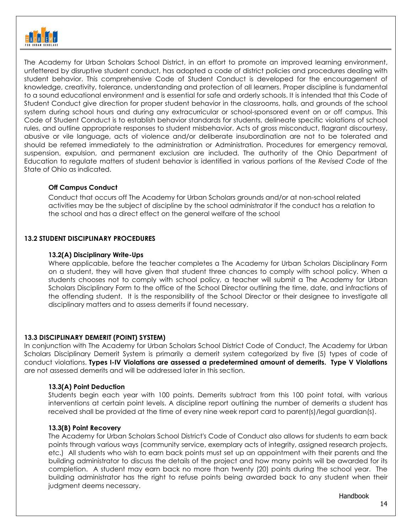

The Academy for Urban Scholars School District, in an effort to promote an improved learning environment, unfettered by disruptive student conduct, has adopted a code of district policies and procedures dealing with student behavior. This comprehensive Code of Student Conduct is developed for the encouragement of knowledge, creativity, tolerance, understanding and protection of all learners. Proper discipline is fundamental to a sound educational environment and is essential for safe and orderly schools. It is intended that this Code of Student Conduct give direction for proper student behavior in the classrooms, halls, and grounds of the school system during school hours and during any extracurricular or school-sponsored event on or off campus. This Code of Student Conduct is to establish behavior standards for students, delineate specific violations of school rules, and outline appropriate responses to student misbehavior. Acts of gross misconduct, flagrant discourtesy, abusive or vile language, acts of violence and/or deliberate insubordination are not to be tolerated and should be referred immediately to the administration or Administration. Procedures for emergency removal, suspension, expulsion, and permanent exclusion are included. The authority of the Ohio Department of Education to regulate matters of student behavior is identified in various portions of the *Revised Code* of the State of Ohio as indicated.

## **Off Campus Conduct**

Conduct that occurs off The Academy for Urban Scholars grounds and/or at non-school related activities may be the subject of discipline by the school administrator if the conduct has a relation to the school and has a direct effect on the general welfare of the school

#### **13.2 STUDENT DISCIPLINARY PROCEDURES**

#### **13.2(A) Disciplinary Write-Ups**

Where applicable, before the teacher completes a The Academy for Urban Scholars Disciplinary Form on a student, they will have given that student three chances to comply with school policy. When a students chooses not to comply with school policy, a teacher will submit a The Academy for Urban Scholars Disciplinary Form to the office of the School Director outlining the time, date, and infractions of the offending student. It is the responsibility of the School Director or their designee to investigate all disciplinary matters and to assess demerits if found necessary.

## **13.3 DISCIPLINARY DEMERIT (POINT) SYSTEM)**

In conjunction with The Academy for Urban Scholars School District Code of Conduct, The Academy for Urban Scholars Disciplinary Demerit System is primarily a demerit system categorized by five (5) types of code of conduct violations. **Types I-IV Violations are assessed a predetermined amount of demerits. Type V Violations** are not assessed demerits and will be addressed later in this section.

#### **13.3(A) Point Deduction**

Students begin each year with 100 points. Demerits subtract from this 100 point total, with various interventions at certain point levels. A discipline report outlining the number of demerits a student has received shall be provided at the time of every nine week report card to parent(s)/legal guardian(s).

#### **13.3(B) Point Recovery**

The Academy for Urban Scholars School District's Code of Conduct also allows for students to earn back points through various ways (community service, exemplary acts of integrity, assigned research projects, etc.) All students who wish to earn back points must set up an appointment with their parents and the building administrator to discuss the details of the project and how many points will be awarded for its completion. A student may earn back no more than twenty (20) points during the school year. The building administrator has the right to refuse points being awarded back to any student when their judgment deems necessary.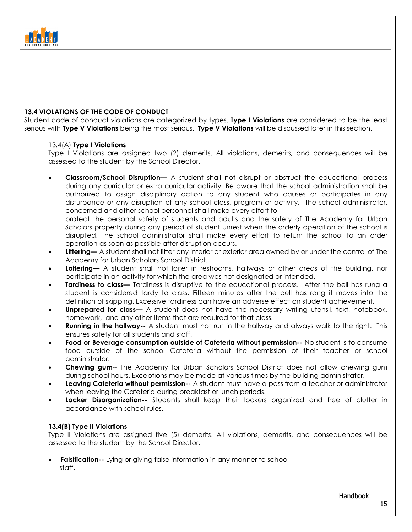

#### **13.4 VIOLATIONS OF THE CODE OF CONDUCT**

Student code of conduct violations are categorized by types. **Type I Violations** are considered to be the least serious with **Type V Violations** being the most serious. **Type V Violations** will be discussed later in this section.

#### 13.4(A) **Type I Violations**

Type I Violations are assigned two (2) demerits. All violations, demerits, and consequences will be assessed to the student by the School Director.

• **Classroom/School Disruption—** A student shall not disrupt or obstruct the educational process during any curricular or extra curricular activity. Be aware that the school administration shall be authorized to assign disciplinary action to any student who causes or participates in any disturbance or any disruption of any school class, program or activity. The school administrator, concerned and other school personnel shall make every effort to

protect the personal safety of students and adults and the safety of The Academy for Urban Scholars property during any period of student unrest when the orderly operation of the school is disrupted. The school administrator shall make every effort to return the school to an order operation as soon as possible after disruption occurs.

- **Littering—** A student shall not litter any interior or exterior area owned by or under the control of The Academy for Urban Scholars School District.
- **Loitering—** A student shall not loiter in restrooms, hallways or other areas of the building, nor participate in an activity for which the area was not designated or intended.
- **Tardiness to class—** Tardiness is disruptive to the educational process. After the bell has rung a student is considered tardy to class. Fifteen minutes after the bell has rang it moves into the definition of skipping. Excessive tardiness can have an adverse effect on student achievement.
- **Unprepared for class—** A student does not have the necessary writing utensil, text, notebook, homework, and any other items that are required for that class.
- **Running in the hallway--** A student must not run in the hallway and always walk to the right. This ensures safety for all students and staff.
- **Food or Beverage consumption outside of Cafeteria without permission--** No student is to consume food outside of the school Cafeteria without the permission of their teacher or school administrator.
- **Chewing gum**-- The Academy for Urban Scholars School District does not allow chewing gum during school hours. Exceptions may be made at various times by the building administrator.
- **Leaving Cafeteria without permission--** A student must have a pass from a teacher or administrator when leaving the Cafeteria during breakfast or lunch periods.
- **Locker Disorganization--** Students shall keep their lockers organized and free of clutter in accordance with school rules.

## **13.4(B) Type II Violations**

Type II Violations are assigned five (5) demerits. All violations, demerits, and consequences will be assessed to the student by the School Director.

**Falsification--** Lying or giving false information in any manner to school staff.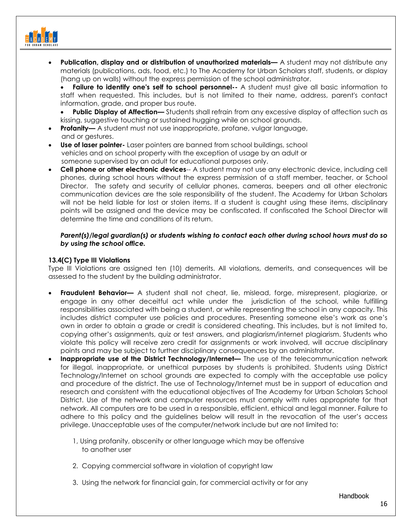

- **Publication, display and or distribution of unauthorized materials—** A student may not distribute any materials (publications, ads, food, etc.) to The Academy for Urban Scholars staff, students, or display (hang up on walls) without the express permission of the school administrator.
	- **Failure to identify one's self to school personnel--** A student must give all basic information to staff when requested. This includes, but is not limited to their name, address, parent's contact information, grade, and proper bus route.
	- **Public Display of Affection—** Students shall refrain from any excessive display of affection such as kissing, suggestive touching or sustained hugging while on school grounds.
- **Profanity—** A student must not use inappropriate, profane, vulgar language, and or gestures.
- **Use of laser pointer-** Laser pointers are banned from school buildings, school vehicles and on school property with the exception of usage by an adult or someone supervised by an adult for educational purposes only.
- **Cell phone or other electronic devices**-- A student may not use any electronic device, including cell phones, during school hours without the express permission of a staff member, teacher, or School Director. The safety and security of cellular phones, cameras, beepers and all other electronic communication devices are the sole responsibility of the student. The Academy for Urban Scholars will not be held liable for lost or stolen items. If a student is caught using these items, disciplinary points will be assigned and the device may be confiscated. If confiscated the School Director will determine the time and conditions of its return.

#### *Parent(s)/legal guardian(s) or students wishing to contact each other during school hours must do so by using the school office.*

#### **13.4(C) Type III Violations**

Type III Violations are assigned ten (10) demerits. All violations, demerits, and consequences will be assessed to the student by the building administrator.

- **Fraudulent Behavior—** A student shall not cheat, lie, mislead, forge, misrepresent, plagiarize, or engage in any other deceitful act while under the jurisdiction of the school, while fulfilling responsibilities associated with being a student, or while representing the school in any capacity. This includes district computer use policies and procedures. Presenting someone else's work as one's own in order to obtain a grade or credit is considered cheating. This includes, but is not limited to, copying other's assignments, quiz or test answers, and plagiarism/internet plagiarism. Students who violate this policy will receive zero credit for assignments or work involved, will accrue disciplinary points and may be subject to further disciplinary consequences by an administrator.
- **Inappropriate use of the District Technology/Internet—** The use of the telecommunication network for illegal, inappropriate, or unethical purposes by students is prohibited. Students using District Technology/Internet on school grounds are expected to comply with the acceptable use policy and procedure of the district. The use of Technology/Internet must be in support of education and research and consistent with the educational objectives of The Academy for Urban Scholars School District. Use of the network and computer resources must comply with rules appropriate for that network. All computers are to be used in a responsible, efficient, ethical and legal manner. Failure to adhere to this policy and the guidelines below will result in the revocation of the user's access privilege. Unacceptable uses of the computer/network include but are not limited to:
	- 1, Using profanity, obscenity or other language which may be offensive to another user
	- 2. Copying commercial software in violation of copyright law
	- 3. Using the network for financial gain, for commercial activity or for any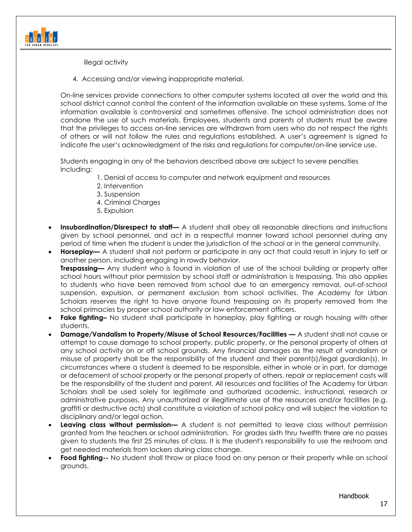

illegal activity

4. Accessing and/or viewing inappropriate material.

On-line services provide connections to other computer systems located all over the world and this school district cannot control the content of the information available on these systems. Some of the information available is controversial and sometimes offensive. The school administration does not condone the use of such materials. Employees, students and parents of students must be aware that the privileges to access on-line services are withdrawn from users who do not respect the rights of others or will not follow the rules and regulations established. A user's agreement is signed to indicate the user's acknowledgment of the risks and regulations for computer/on-line service use.

Students engaging in any of the behaviors described above are subject to severe penalties including:

- 1. Denial of access to computer and network equipment and resources
- 2. Intervention
- 3. Suspension
- 4. Criminal Charges
- 5. Expulsion
- **Insubordination/Disrespect to staff—** A student shall obey all reasonable directions and instructions given by school personnel, and act in a respectful manner toward school personnel during any period of time when the student is under the jurisdiction of the school or in the general community.
- **Horseplay—** A student shall not perform or participate in any act that could result in injury to self or another person, including engaging in rowdy behavior. **Trespassing—** Any student who is found in violation of use of the school building or property after school hours without prior permission by school staff or administration is trespassing. This also applies to students who have been removed from school due to an emergency removal, out-of-school suspension, expulsion, or permanent exclusion from school activities. The Academy for Urban Scholars reserves the right to have anyone found trespassing on its property removed from the school primacies by proper school authority or law enforcement officers.
- **Fake fighting–** No student shall participate in horseplay, play fighting or rough housing with other students.
- **Damage/Vandalism to Property/Misuse of School Resources/Facilities —** A student shall not cause or attempt to cause damage to school property, public property, or the personal property of others at any school activity on or off school grounds. Any financial damages as the result of vandalism or misuse of property shall be the responsibility of the student and their parent(s)/legal guardian(s). In circumstances where a student is deemed to be responsible, either in whole or in part, for damage or defacement of school property or the personal property of others, repair or replacement costs will be the responsibility of the student and parent. All resources and facilities of The Academy for Urban Scholars shall be used solely for legitimate and authorized academic, instructional, research or administrative purposes. Any unauthorized or illegitimate use of the resources and/or facilities (e.g. graffiti or destructive acts) shall constitute a violation of school policy and will subject the violation to disciplinary and/or legal action.
- **Leaving class without permission—** A student is not permitted to leave class without permission granted from the teachers or school administration. For grades sixth thru twelfth there are no passes given to students the first 25 minutes of class. It is the student's responsibility to use the restroom and get needed materials from lockers during class change.
- **Food fighting--** No student shall throw or place food on any person or their property while on school grounds.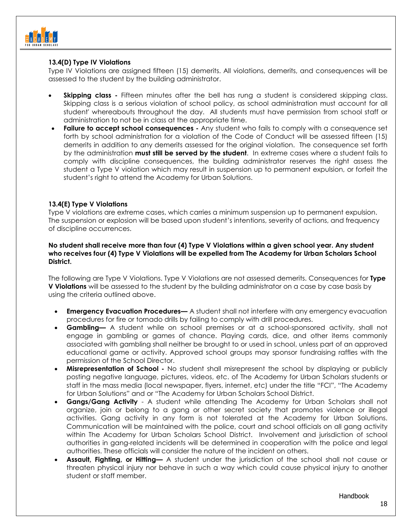

#### **13.4(D) Type IV Violations**

Type IV Violations are assigned fifteen (15) demerits. All violations, demerits, and consequences will be assessed to the student by the building administrator.

- **Skipping class** Fifteen minutes after the bell has rung a student is considered skipping class. Skipping class is a serious violation of school policy, as school administration must account for all student' whereabouts throughout the day. All students must have permission from school staff or administration to not be in class at the appropriate time.
- **Failure to accept school consequences -** Any student who fails to comply with a consequence set forth by school administration for a violation of the Code of Conduct will be assessed fifteen (15) demerits in addition to any demerits assessed for the original violation. The consequence set forth by the administration **must still be served by the student**. In extreme cases where a student fails to comply with discipline consequences, the building administrator reserves the right assess the student a Type V violation which may result in suspension up to permanent expulsion, or forfeit the student's right to attend the Academy for Urban Solutions.

#### **13.4(E) Type V Violations**

Type V violations are extreme cases, which carries a minimum suspension up to permanent expulsion. The suspension or explosion will be based upon student's intentions, severity of actions, and frequency of discipline occurrences.

#### **No student shall receive more than four (4) Type V Violations within a given school year. Any student who receives four (4) Type V Violations will be expelled from The Academy for Urban Scholars School District.**

The following are Type V Violations. Type V Violations are not assessed demerits. Consequences for **Type V Violations** will be assessed to the student by the building administrator on a case by case basis by using the criteria outlined above.

- **Emergency Evacuation Procedures—** A student shall not interfere with any emergency evacuation procedures for fire or tornado drills by failing to comply with drill procedures.
- **Gambling—** A student while on school premises or at a school-sponsored activity, shall not engage in gambling or games of chance. Playing cards, dice, and other items commonly associated with gambling shall neither be brought to or used in school, unless part of an approved educational game or activity. Approved school groups may sponsor fundraising raffles with the permission of the School Director.
- **Misrepresentation of School -** No student shall misrepresent the school by displaying or publicly posting negative language, pictures, videos, etc. of The Academy for Urban Scholars students or staff in the mass media (local newspaper, flyers, internet, etc) under the title "FCI", "The Academy for Urban Solutions" and or "The Academy for Urban Scholars School District.
- **Gangs/Gang Activity** A student while attending The Academy for Urban Scholars shall not organize, join or belong to a gang or other secret society that promotes violence or illegal activities. Gang activity in any form is not tolerated at the Academy for Urban Solutions. Communication will be maintained with the police, court and school officials on all gang activity within The Academy for Urban Scholars School District. Involvement and jurisdiction of school authorities in gang-related incidents will be determined in cooperation with the police and legal authorities. These officials will consider the nature of the incident on others.
- **Assault, Fighting, or Hitting—** A student under the jurisdiction of the school shall not cause or threaten physical injury nor behave in such a way which could cause physical injury to another student or staff member.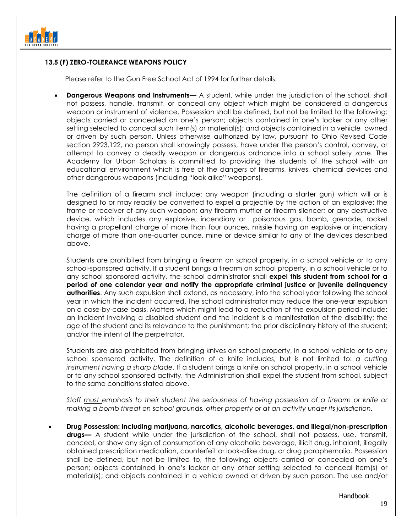

#### **13.5 (F) ZERO-TOLERANCE WEAPONS POLICY**

Please refer to the Gun Free School Act of 1994 for further details.

**Dangerous Weapons and Instruments—** A student, while under the jurisdiction of the school, shall not possess, handle, transmit, or conceal any object which might be considered a dangerous weapon or instrument of violence. Possession shall be defined, but not be limited to the following: objects carried or concealed on one's person; objects contained in one's locker or any other setting selected to conceal such item(s) or material(s); and objects contained in a vehicle owned or driven by such person. Unless otherwise authorized by law, pursuant to Ohio Revised Code section 2923.122, no person shall knowingly possess, have under the person's control, convey, or attempt to convey a deadly weapon or dangerous ordnance into a school safety zone. The Academy for Urban Scholars is committed to providing the students of the school with an educational environment which is free of the dangers of firearms, knives, chemical devices and other dangerous weapons (including "look alike" weapons).

The definition of a firearm shall include: any weapon (including a starter gun) which will or is designed to or may readily be converted to expel a projectile by the action of an explosive; the frame or receiver of any such weapon; any firearm muffler or firearm silencer; or any destructive device, which includes any explosive, incendiary or poisonous gas, bomb, grenade, rocket having a propellant charge of more than four ounces, missile having an explosive or incendiary charge of more than one-quarter ounce, mine or device similar to any of the devices described above.

Students are prohibited from bringing a firearm on school property, in a school vehicle or to any school-sponsored activity. If a student brings a firearm on school property, in a school vehicle or to any school sponsored activity, the school administrator shall **expel this student from school for a period of one calendar year and notify the appropriate criminal justice or juvenile delinquency authorities**. Any such expulsion shall extend, as necessary, into the school year following the school year in which the incident occurred. The school administrator may reduce the one-year expulsion on a case-by-case basis. Matters which might lead to a reduction of the expulsion period include: an incident involving a disabled student and the incident is a manifestation of the disability; the age of the student and its relevance to the punishment; the prior disciplinary history of the student; and/or the intent of the perpetrator.

Students are also prohibited from bringing knives on school property, in a school vehicle or to any school sponsored activity. The definition of a knife includes, but is not limited to: *a cutting instrument having a sharp blade*. If a student brings a knife on school property, in a school vehicle or to any school sponsored activity, the Administration shall expel the student from school, subject to the same conditions stated above.

*Staff must emphasis to their student the seriousness of having possession of a firearm or knife or making a bomb threat on school grounds, other property or at an activity under its jurisdiction.*

• **Drug Possession: including marijuana, narcotics, alcoholic beverages, and illegal/non-prescription drugs—** A student while under the jurisdiction of the school, shall not possess, use, transmit, conceal, or show any sign of consumption of any alcoholic beverage, illicit drug, inhalant, illegally obtained prescription medication, counterfeit or look-alike drug, or drug paraphernalia. Possession shall be defined, but not be limited to, the following: objects carried or concealed on one's person; objects contained in one's locker or any other setting selected to conceal item(s) or material(s); and objects contained in a vehicle owned or driven by such person. The use and/or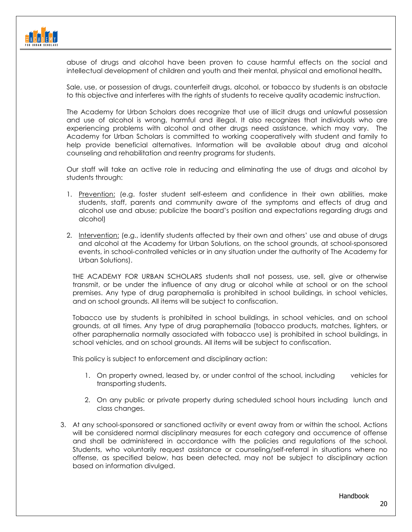

abuse of drugs and alcohol have been proven to cause harmful effects on the social and intellectual development of children and youth and their mental, physical and emotional health**.** 

Sale, use, or possession of drugs, counterfeit drugs, alcohol, or tobacco by students is an obstacle to this objective and interferes with the rights of students to receive quality academic instruction.

The Academy for Urban Scholars does recognize that use of illicit drugs and unlawful possession and use of alcohol is wrong, harmful and illegal. It also recognizes that individuals who are experiencing problems with alcohol and other drugs need assistance, which may vary. The Academy for Urban Scholars is committed to working cooperatively with student and family to help provide beneficial alternatives. Information will be available about drug and alcohol counseling and rehabilitation and reentry programs for students.

Our staff will take an active role in reducing and eliminating the use of drugs and alcohol by students through:

- 1. Prevention: (e.g. foster student self-esteem and confidence in their own abilities, make students, staff, parents and community aware of the symptoms and effects of drug and alcohol use and abuse; publicize the board's position and expectations regarding drugs and alcohol)
- 2. Intervention: (e.g., identify students affected by their own and others' use and abuse of drugs and alcohol at the Academy for Urban Solutions, on the school grounds, at school-sponsored events, in school-controlled vehicles or in any situation under the authority of The Academy for Urban Solutions).

THE ACADEMY FOR URBAN SCHOLARS students shall not possess, use, sell, give or otherwise transmit, or be under the influence of any drug or alcohol while at school or on the school premises. Any type of drug paraphernalia is prohibited in school buildings, in school vehicles, and on school grounds. All items will be subject to confiscation.

Tobacco use by students is prohibited in school buildings, in school vehicles, and on school grounds, at all times. Any type of drug paraphernalia (tobacco products, matches, lighters, or other paraphernalia normally associated with tobacco use) is prohibited in school buildings, in school vehicles, and on school grounds. All items will be subject to confiscation.

This policy is subject to enforcement and disciplinary action:

- 1. On property owned, leased by, or under control of the school, including vehicles for transporting students.
- 2. On any public or private property during scheduled school hours including lunch and class changes.
- 3. At any school-sponsored or sanctioned activity or event away from or within the school. Actions will be considered normal disciplinary measures for each category and occurrence of offense and shall be administered in accordance with the policies and regulations of the school. Students, who voluntarily request assistance or counseling/self-referral in situations where no offense, as specified below, has been detected, may not be subject to disciplinary action based on information divulged.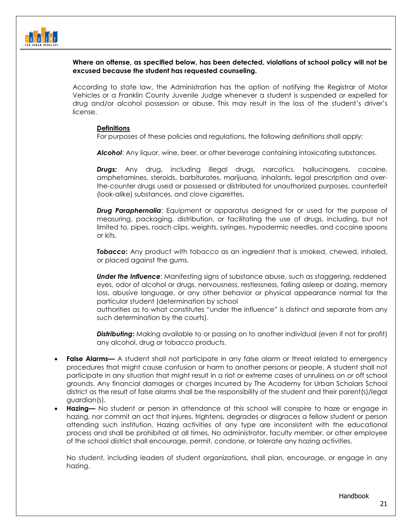

#### **Where an offense, as specified below, has been detected, violations of school policy will not be excused because the student has requested counseling.**

According to state law, the Administration has the option of notifying the Registrar of Motor Vehicles or a Franklin County Juvenile Judge whenever a student is suspended or expelled for drug and/or alcohol possession or abuse. This may result in the loss of the student's driver's license.

#### **Definitions**

For purposes of these policies and regulations, the following definitions shall apply:

*Alcohol*: Any liquor, wine, beer, or other beverage containing intoxicating substances.

*Drugs:* Any drug, including illegal drugs, narcotics, hallucinogens, cocaine, amphetamines, steroids, barbiturates, marijuana, inhalants, legal prescription and overthe-counter drugs used or possessed or distributed for unauthorized purposes, counterfeit (look-alike) substances, and clove cigarettes.

*Drug Paraphernalia*: Equipment or apparatus designed for or used for the purpose of measuring, packaging, distribution, or facilitating the use of drugs, including, but not limited to, pipes, roach clips, weights, syringes, hypodermic needles, and cocaine spoons or kits.

**Tobacco:** Any product with tobacco as an ingredient that is smoked, chewed, inhaled, or placed against the gums.

**Under the Influence:** Manifesting signs of substance abuse, such as staggering, reddened eyes, odor of alcohol or drugs, nervousness, restlessness, falling asleep or dozing, memory loss, abusive language, or any other behavior or physical appearance normal for the particular student (determination by school

authorities as to what constitutes "under the influence" is distinct and separate from any such determination by the courts).

**Distributing:** Making available to or passing on to another individual (even if not for profit) any alcohol, drug or tobacco products.

- **False Alarms—** A student shall not participate in any false alarm or threat related to emergency procedures that might cause confusion or harm to another persons or people. A student shall not participate in any situation that might result in a riot or extreme cases of unruliness on or off school grounds. Any financial damages or charges incurred by The Academy for Urban Scholars School district as the result of false alarms shall be the responsibility of the student and their parent(s)/legal guardian(s).
- **Hazing—** No student or person in attendance at this school will conspire to haze or engage in hazing, nor commit an act that injures, frightens, degrades or disgraces a fellow student or person attending such institution. Hazing activities of any type are inconsistent with the educational process and shall be prohibited at all times. No administrator, faculty member, or other employee of the school district shall encourage, permit, condone, or tolerate any hazing activities.

No student, including leaders of student organizations, shall plan, encourage, or engage in any hazing.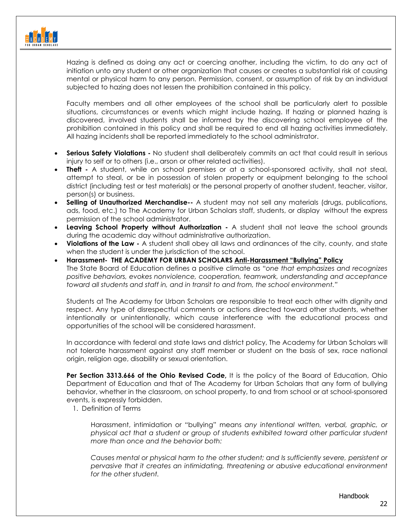

Hazing is defined as doing any act or coercing another, including the victim, to do any act of initiation unto any student or other organization that causes or creates a substantial risk of causing mental or physical harm to any person. Permission, consent, or assumption of risk by an individual subjected to hazing does not lessen the prohibition contained in this policy.

Faculty members and all other employees of the school shall be particularly alert to possible situations, circumstances or events which might include hazing. If hazing or planned hazing is discovered, involved students shall be informed by the discovering school employee of the prohibition contained in this policy and shall be required to end all hazing activities immediately. All hazing incidents shall be reported immediately to the school administrator.

- **Serious Safety Violations -** No student shall deliberately commits an act that could result in serious injury to self or to others (i.e., arson or other related activities).
- **Theft -** A student, while on school premises or at a school-sponsored activity, shall not steal, attempt to steal, or be in possession of stolen property or equipment belonging to the school district (including test or test materials) or the personal property of another student, teacher, visitor, person(s) or business.
- **Selling of Unauthorized Merchandise--** A student may not sell any materials (drugs, publications, ads, food, etc.) to The Academy for Urban Scholars staff, students, or display without the express permission of the school administrator.
- **Leaving School Property without Authorization -** A student shall not leave the school grounds during the academic day without administrative authorization.
- **Violations of the Law -** A student shall obey all laws and ordinances of the city, county, and state when the student is under the jurisdiction of the school.
- **Harassment- THE ACADEMY FOR URBAN SCHOLARS Anti-Harassment "Bullying" Policy** The State Board of Education defines a positive climate as "*one that emphasizes and recognizes positive behaviors, evokes nonviolence, cooperation, teamwork, understanding and acceptance toward all students and staff in, and in transit to and from, the school environment."*

Students at The Academy for Urban Scholars are responsible to treat each other with dignity and respect. Any type of disrespectful comments or actions directed toward other students, whether intentionally or unintentionally, which cause interference with the educational process and opportunities of the school will be considered harassment.

In accordance with federal and state laws and district policy, The Academy for Urban Scholars will not tolerate harassment against any staff member or student on the basis of sex, race national origin, religion age, disability or sexual orientation.

**Per Section 3313.666 of the Ohio Revised Code, It is the policy of the Board of Education, Ohio** Department of Education and that of The Academy for Urban Scholars that any form of bullying behavior, whether in the classroom, on school property, to and from school or at school-sponsored events, is expressly forbidden.

1. Definition of Terms

Harassment, intimidation or "bullying" means *any intentional written, verbal, graphic, or physical act that a student or group of students exhibited toward other particular student more than once and the behavior both:*

*Causes mental or physical harm to the other student; and Is sufficiently severe, persistent or pervasive that it creates an intimidating, threatening or abusive educational environment for the other student.*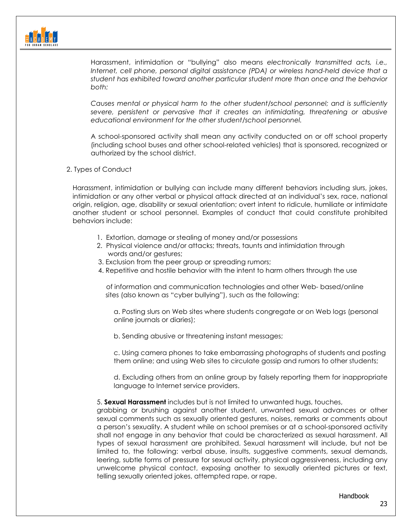

Harassment, intimidation or "bullying" also means *electronically transmitted acts, i.e., Internet, cell phone, personal digital assistance (PDA) or wireless hand-held device that a student has exhibited toward another particular student more than once and the behavior both:*

*Causes mental or physical harm to the other student/school personnel; and is sufficiently severe, persistent or pervasive that it creates an intimidating, threatening or abusive educational environment for the other student/school personnel.*

A school-sponsored activity shall mean any activity conducted on or off school property (including school buses and other school-related vehicles) that is sponsored, recognized or authorized by the school district.

2. Types of Conduct

Harassment, intimidation or bullying can include many different behaviors including slurs, jokes, intimidation or any other verbal or physical attack directed at an individual's sex, race, national origin, religion, age, disability or sexual orientation; overt intent to ridicule, humiliate or intimidate another student or school personnel. Examples of conduct that could constitute prohibited behaviors include:

- 1. Extortion, damage or stealing of money and/or possessions
- 2. Physical violence and/or attacks; threats, taunts and intimidation through words and/or gestures;
- 3. Exclusion from the peer group or spreading rumors;
- 4. Repetitive and hostile behavior with the intent to harm others through the use

 of information and communication technologies and other Web- based/online sites (also known as "cyber bullying"), such as the following:

a. Posting slurs on Web sites where students congregate or on Web logs (personal online journals or diaries);

b. Sending abusive or threatening instant messages;

c. Using camera phones to take embarrassing photographs of students and posting them online; and using Web sites to circulate gossip and rumors to other students;

d. Excluding others from an online group by falsely reporting them for inappropriate language to Internet service providers.

#### 5. **Sexual Harassment** includes but is not limited to unwanted hugs, touches,

grabbing or brushing against another student, unwanted sexual advances or other sexual comments such as sexually oriented gestures, noises, remarks or comments about a person's sexuality. A student while on school premises or at a school-sponsored activity shall not engage in any behavior that could be characterized as sexual harassment. All types of sexual harassment are prohibited. Sexual harassment will include, but not be limited to, the following: verbal abuse, insults, suggestive comments, sexual demands, leering, subtle forms of pressure for sexual activity, physical aggressiveness, including any unwelcome physical contact, exposing another to sexually oriented pictures or text, telling sexually oriented jokes, attempted rape, or rape.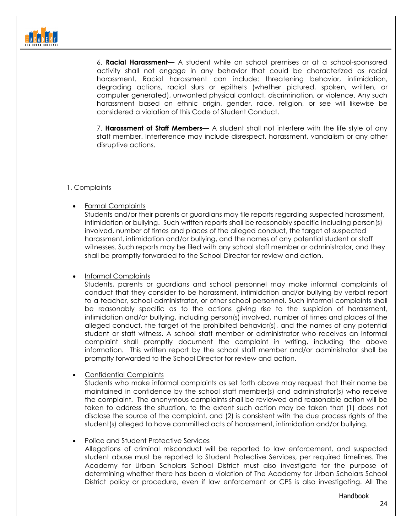6. **Racial Harassment—** A student while on school premises or at a school-sponsored activity shall not engage in any behavior that could be characterized as racial harassment. Racial harassment can include: threatening behavior, intimidation, degrading actions, racial slurs or epithets (whether pictured, spoken, written, or computer generated), unwanted physical contact, discrimination, or violence. Any such harassment based on ethnic origin, gender, race, religion, or see will likewise be considered a violation of this Code of Student Conduct.

7. **Harassment of Staff Members—** A student shall not interfere with the life style of any staff member. Interference may include disrespect, harassment, vandalism or any other disruptive actions.

#### 1. Complaints

• Formal Complaints

Students and/or their parents or guardians may file reports regarding suspected harassment, intimidation or bullying. Such written reports shall be reasonably specific including person(s) involved, number of times and places of the alleged conduct, the target of suspected harassment, intimidation and/or bullying, and the names of any potential student or staff witnesses. Such reports may be filed with any school staff member or administrator, and they shall be promptly forwarded to the School Director for review and action.

• Informal Complaints

Students, parents or guardians and school personnel may make informal complaints of conduct that they consider to be harassment, intimidation and/or bullying by verbal report to a teacher, school administrator, or other school personnel. Such informal complaints shall be reasonably specific as to the actions giving rise to the suspicion of harassment, intimidation and/or bullying, including person(s) involved, number of times and places of the alleged conduct, the target of the prohibited behavior(s), and the names of any potential student or staff witness. A school staff member or administrator who receives an informal complaint shall promptly document the complaint in writing, including the above information. This written report by the school staff member and/or administrator shall be promptly forwarded to the School Director for review and action.

• Confidential Complaints

Students who make informal complaints as set forth above may request that their name be maintained in confidence by the school staff member(s) and administrator(s) who receive the complaint. The anonymous complaints shall be reviewed and reasonable action will be taken to address the situation, to the extent such action may be taken that (1) does not disclose the source of the complaint, and (2) is consistent with the due process rights of the student(s) alleged to have committed acts of harassment, intimidation and/or bullying.

• Police and Student Protective Services

Allegations of criminal misconduct will be reported to law enforcement, and suspected student abuse must be reported to Student Protective Services, per required timelines. The Academy for Urban Scholars School District must also investigate for the purpose of determining whether there has been a violation of The Academy for Urban Scholars School District policy or procedure, even if law enforcement or CPS is also investigating. All The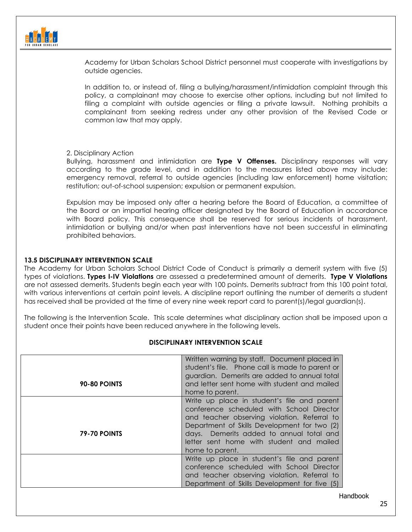

Academy for Urban Scholars School District personnel must cooperate with investigations by outside agencies.

In addition to, or instead of, filing a bullying/harassment/intimidation complaint through this policy, a complainant may choose to exercise other options, including but not limited to filing a complaint with outside agencies or filing a private lawsuit. Nothing prohibits a complainant from seeking redress under any other provision of the Revised Code or common law that may apply.

2. Disciplinary Action

Bullying, harassment and intimidation are **Type V Offenses.** Disciplinary responses will vary according to the grade level, and in addition to the measures listed above may include: emergency removal, referral to outside agencies (including law enforcement) home visitation; restitution; out-of-school suspension; expulsion or permanent expulsion.

Expulsion may be imposed only after a hearing before the Board of Education, a committee of the Board or an impartial hearing officer designated by the Board of Education in accordance with Board policy. This consequence shall be reserved for serious incidents of harassment, intimidation or bullying and/or when past interventions have not been successful in eliminating prohibited behaviors.

#### **13.5 DISCIPLINARY INTERVENTION SCALE**

The Academy for Urban Scholars School District Code of Conduct is primarily a demerit system with five (5) types of violations. **Types I-IV Violations** are assessed a predetermined amount of demerits. **Type V Violations** are not assessed demerits. Students begin each year with 100 points. Demerits subtract from this 100 point total, with various interventions at certain point levels. A discipline report outlining the number of demerits a student has received shall be provided at the time of every nine week report card to parent(s)/legal guardian(s).

The following is the Intervention Scale. This scale determines what disciplinary action shall be imposed upon a student once their points have been reduced anywhere in the following levels.

| <b>90-80 POINTS</b> | Written warning by staff. Document placed in<br>student's file. Phone call is made to parent or<br>guardian. Demerits are added to annual total<br>and letter sent home with student and mailed<br>home to parent.                                                                                  |
|---------------------|-----------------------------------------------------------------------------------------------------------------------------------------------------------------------------------------------------------------------------------------------------------------------------------------------------|
| <b>79-70 POINTS</b> | Write up place in student's file and parent<br>conference scheduled with School Director<br>and teacher observing violation. Referral to<br>Department of Skills Development for two (2)<br>days. Demerits added to annual total and<br>letter sent home with student and mailed<br>home to parent. |
|                     | Write up place in student's file and parent<br>conference scheduled with School Director<br>and teacher observing violation. Referral to<br>Department of Skills Development for five (5)                                                                                                           |
|                     |                                                                                                                                                                                                                                                                                                     |

#### **DISCIPLINARY INTERVENTION SCALE**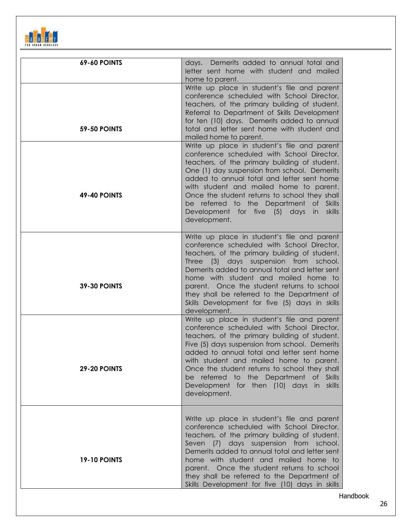

| <b>69-60 POINTS</b>                        | Demerits added to annual total and<br>days.<br>letter sent home with student and mailed<br>home to parent.                                                                                                                                                                                                                                                                                                                                                                                                                                                                                                                                                                                                                                                             |
|--------------------------------------------|------------------------------------------------------------------------------------------------------------------------------------------------------------------------------------------------------------------------------------------------------------------------------------------------------------------------------------------------------------------------------------------------------------------------------------------------------------------------------------------------------------------------------------------------------------------------------------------------------------------------------------------------------------------------------------------------------------------------------------------------------------------------|
| <b>59-50 POINTS</b><br><b>49-40 POINTS</b> | Write up place in student's file and parent<br>conference scheduled with School Director,<br>teachers, of the primary building of student.<br>Referral to Department of Skills Development<br>for ten (10) days. Demerits added to annual<br>total and letter sent home with student and<br>mailed home to parent.<br>Write up place in student's file and parent<br>conference scheduled with School Director,<br>teachers, of the primary building of student.<br>One (1) day suspension from school. Demerits<br>added to annual total and letter sent home<br>with student and mailed home to parent.<br>Once the student returns to school they shall<br>be referred to the Department of Skills<br>Development for five (5)<br>days in<br>skills<br>development. |
| <b>39-30 POINTS</b>                        | Write up place in student's file and parent<br>conference scheduled with School Director,<br>teachers, of the primary building of student.<br>Three (3) days suspension from<br>school.<br>Demerits added to annual total and letter sent<br>home with student and mailed home to<br>parent. Once the student returns to school<br>they shall be referred to the Department of<br>Skills Development for five (5) days in skills<br>development.                                                                                                                                                                                                                                                                                                                       |
| <b>29-20 POINTS</b>                        | Write up place in student's file and parent<br>conference scheduled with School Director,<br>teachers, of the primary building of student.<br>Five (5) days suspension from school. Demerits<br>added to annual total and letter sent home<br>with student and mailed home to parent.<br>Once the student returns to school they shall<br>be referred to the Department of Skills<br>Development for then (10) days in skills<br>development.                                                                                                                                                                                                                                                                                                                          |
| <b>19-10 POINTS</b>                        | Write up place in student's file and parent<br>conference scheduled with School Director,<br>teachers, of the primary building of student.<br>Seven (7) days suspension from school.<br>Demerits added to annual total and letter sent<br>home with student and mailed home to<br>parent. Once the student returns to school<br>they shall be referred to the Department of<br>Skills Development for five (10) days in skills                                                                                                                                                                                                                                                                                                                                         |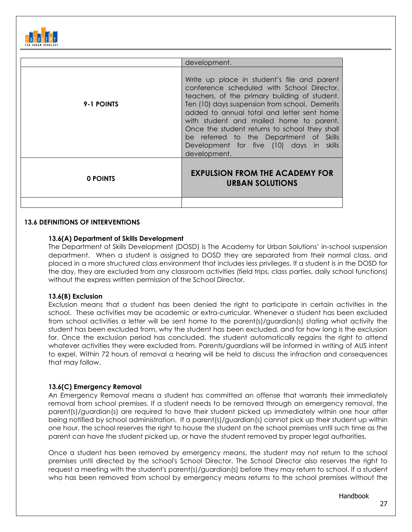

|            | development.                                                                                                                                                                                                                                                                                                                                                                                                                                  |  |
|------------|-----------------------------------------------------------------------------------------------------------------------------------------------------------------------------------------------------------------------------------------------------------------------------------------------------------------------------------------------------------------------------------------------------------------------------------------------|--|
| 9-1 POINTS | Write up place in student's file and parent<br>conference scheduled with School Director,<br>teachers, of the primary building of student.<br>Ten (10) days suspension from school. Demerits<br>added to annual total and letter sent home<br>with student and mailed home to parent.<br>Once the student returns to school they shall<br>be referred to the Department of Skills<br>Development for five (10) days in skills<br>development. |  |
| 0 POINTS   | <b>EXPULSION FROM THE ACADEMY FOR</b><br><b>URBAN SOLUTIONS</b>                                                                                                                                                                                                                                                                                                                                                                               |  |

#### **13.6 DEFINITIONS OF INTERVENTIONS**

#### **13.6(A) Department of Skills Development**

The Department of Skills Development (DOSD) is The Academy for Urban Solutions' in-school suspension department. When a student is assigned to DOSD they are separated from their normal class, and placed in a more structured class environment that includes less privileges. If a student is in the DOSD for the day, they are excluded from any classroom activities (field trips, class parties, daily school functions) without the express written permission of the School Director.

#### **13.6(B) Exclusion**

Exclusion means that a student has been denied the right to participate in certain activities in the school. These activities may be academic or extra-curricular. Whenever a student has been excluded from school activities a letter will be sent home to the parent(s)/guardian(s) stating what activity the student has been excluded from, why the student has been excluded, and for how long is the exclusion for. Once the exclusion period has concluded, the student automatically regains the right to attend whatever activities they were excluded from. Parents/guardians will be informed in writing of AUS intent to expel. Within 72 hours of removal a hearing will be held to discuss the infraction and consequences that may follow.

#### **13.6(C) Emergency Removal**

An Emergency Removal means a student has committed an offense that warrants their immediately removal from school premises. If a student needs to be removed through an emergency removal, the parent(s)/guardian(s) are required to have their student picked up immediately within one hour after being notified by school administration. If a parent(s)/guardian(s) cannot pick up their student up within one hour, the school reserves the right to house the student on the school premises until such time as the parent can have the student picked up, or have the student removed by proper legal authorities.

Once a student has been removed by emergency means, the student may not return to the school premises until directed by the school's School Director. The School Director also reserves the right to request a meeting with the student's parent(s)/guardian(s) before they may return to school. If a student who has been removed from school by emergency means returns to the school premises without the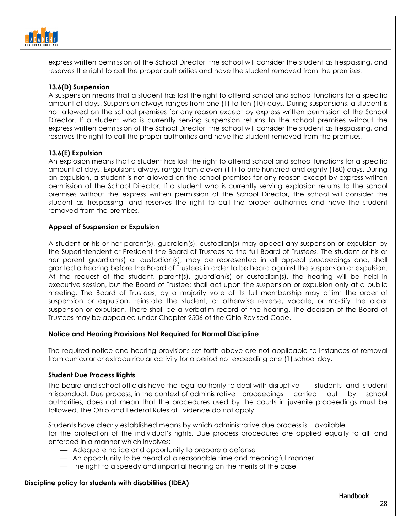

express written permission of the School Director, the school will consider the student as trespassing, and reserves the right to call the proper authorities and have the student removed from the premises.

#### **13.6(D) Suspension**

A suspension means that a student has lost the right to attend school and school functions for a specific amount of days. Suspension always ranges from one (1) to ten (10) days. During suspensions, a student is not allowed on the school premises for any reason except by express written permission of the School Director. If a student who is currently serving suspension returns to the school premises without the express written permission of the School Director, the school will consider the student as trespassing, and reserves the right to call the proper authorities and have the student removed from the premises.

#### **13.6(E) Expulsion**

An explosion means that a student has lost the right to attend school and school functions for a specific amount of days. Expulsions always range from eleven (11) to one hundred and eighty (180) days. During an expulsion, a student is not allowed on the school premises for any reason except by express written permission of the School Director. If a student who is currently serving explosion returns to the school premises without the express written permission of the School Director, the school will consider the student as trespassing, and reserves the right to call the proper authorities and have the student removed from the premises.

#### **Appeal of Suspension or Expulsion**

A student or his or her parent(s), guardian(s), custodian(s) may appeal any suspension or expulsion by the Superintendent or President the Board of Trustees to the full Board of Trustees. The student or his or her parent guardian(s) or custodian(s), may be represented in all appeal proceedings and, shall granted a hearing before the Board of Trustees in order to be heard against the suspension or expulsion. At the request of the student, parent(s), guardian(s) or custodian(s), the hearing will be held in executive session, but the Board of Trustee: shall act upon the suspension or expulsion only at a public meeting. The Board of Trustees, by a majority vote of its full membership may affirm the order of suspension or expulsion, reinstate the student, or otherwise reverse, vacate, or modify the order suspension or expulsion. There shall be a verbatim record of the hearing. The decision of the Board of Trustees may be appealed under Chapter 2506 of the Ohio Revised Code.

#### **Notice and Hearing Provisions Not Required for Normal Discipline**

The required notice and hearing provisions set forth above are not applicable to instances of removal from curricular or extracurricular activity for a period not exceeding one (1) school day.

#### **Student Due Process Rights**

The board and school officials have the legal authority to deal with disruptive students and student misconduct. Due process, in the context of administrative proceedings carried out by school authorities, does not mean that the procedures used by the courts in juvenile proceedings must be followed. The Ohio and Federal Rules of Evidence do not apply.

Students have clearly established means by which administrative due process is available for the protection of the individual's rights. Due process procedures are applied equally to all, and enforced in a manner which involves:

- Adequate notice and opportunity to prepare a defense
- An opportunity to be heard at a reasonable time and meaningful manner
- The right to a speedy and impartial hearing on the merits of the case

#### **Discipline policy for students with disabilities (IDEA)**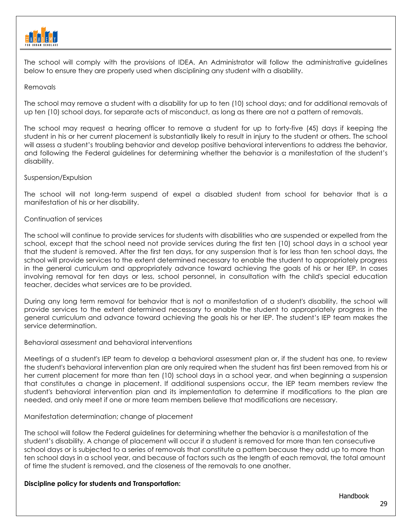

The school will comply with the provisions of IDEA. An Administrator will follow the administrative guidelines below to ensure they are properly used when disciplining any student with a disability.

#### Removals

The school may remove a student with a disability for up to ten (10) school days; and for additional removals of up ten (10) school days, for separate acts of misconduct, as long as there are not a pattern of removals.

The school may request a hearing officer to remove a student for up to forty-five (45) days if keeping the student in his or her current placement is substantially likely to result in injury to the student or others. The school will assess a student's troubling behavior and develop positive behavioral interventions to address the behavior, and following the Federal guidelines for determining whether the behavior is a manifestation of the student's disability.

#### Suspension/Expulsion

The school will not long-term suspend of expel a disabled student from school for behavior that is a manifestation of his or her disability.

#### Continuation of services

The school will continue to provide services for students with disabilities who are suspended or expelled from the school, except that the school need not provide services during the first ten (10) school days in a school year that the student is removed. After the first ten days, for any suspension that is for less than ten school days, the school will provide services to the extent determined necessary to enable the student to appropriately progress in the general curriculum and appropriately advance toward achieving the goals of his or her IEP. In cases involving removal for ten days or less, school personnel, in consultation with the child's special education teacher, decides what services are to be provided.

During any long term removal for behavior that is not a manifestation of a student's disability, the school will provide services to the extent determined necessary to enable the student to appropriately progress in the general curriculum and advance toward achieving the goals his or her IEP. The student's IEP team makes the service determination.

#### Behavioral assessment and behavioral interventions

Meetings of a student's IEP team to develop a behavioral assessment plan or, if the student has one, to review the student's behavioral intervention plan are only required when the student has first been removed from his or her current placement for more than ten (10) school days in a school year, and when beginning a suspension that constitutes a change in placement. If additional suspensions occur, the IEP team members review the student's behavioral intervention plan and its implementation to determine if modifications to the plan are needed, and only meet if one or more team members believe that modifications are necessary.

#### Manifestation determination; change of placement

The school will follow the Federal guidelines for determining whether the behavior is a manifestation of the student's disability. A change of placement will occur if a student is removed for more than ten consecutive school days or is subjected to a series of removals that constitute a pattern because they add up to more than ten school days in a school year, and because of factors such as the length of each removal, the total amount of time the student is removed, and the closeness of the removals to one another.

#### **Discipline policy for students and Transportation:**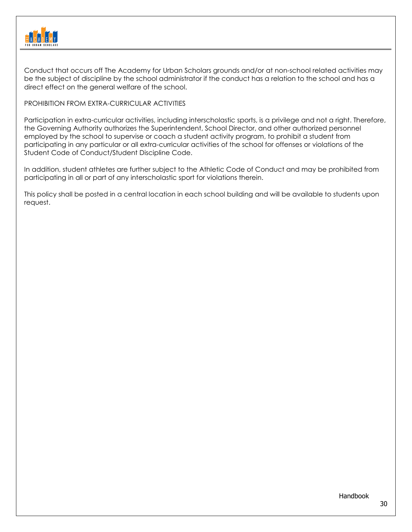

Conduct that occurs off The Academy for Urban Scholars grounds and/or at non-school related activities may be the subject of discipline by the school administrator if the conduct has a relation to the school and has a direct effect on the general welfare of the school.

#### PROHIBITION FROM EXTRA-CURRICULAR ACTIVITIES

Participation in extra-curricular activities, including interscholastic sports, is a privilege and not a right. Therefore, the Governing Authority authorizes the Superintendent, School Director, and other authorized personnel employed by the school to supervise or coach a student activity program, to prohibit a student from participating in any particular or all extra-curricular activities of the school for offenses or violations of the Student Code of Conduct/Student Discipline Code.

In addition, student athletes are further subject to the Athletic Code of Conduct and may be prohibited from participating in all or part of any interscholastic sport for violations therein.

This policy shall be posted in a central location in each school building and will be available to students upon request.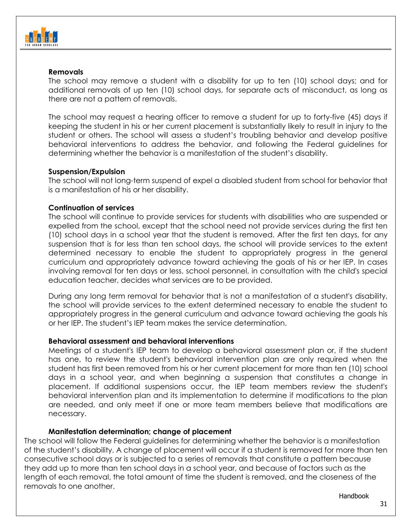

## **Removals**

The school may remove a student with a disability for up to ten (10) school days; and for additional removals of up ten (10) school days, for separate acts of misconduct, as long as there are not a pattern of removals.

The school may request a hearing officer to remove a student for up to forty-five (45) days if keeping the student in his or her current placement is substantially likely to result in injury to the student or others. The school will assess a student's troubling behavior and develop positive behavioral interventions to address the behavior, and following the Federal guidelines for determining whether the behavior is a manifestation of the student's disability.

## **Suspension/Expulsion**

The school will not long-term suspend of expel a disabled student from school for behavior that is a manifestation of his or her disability.

## **Continuation of services**

The school will continue to provide services for students with disabilities who are suspended or expelled from the school, except that the school need not provide services during the first ten (10) school days in a school year that the student is removed. After the first ten days, for any suspension that is for less than ten school days, the school will provide services to the extent determined necessary to enable the student to appropriately progress in the general curriculum and appropriately advance toward achieving the goals of his or her IEP. In cases involving removal for ten days or less, school personnel, in consultation with the child's special education teacher, decides what services are to be provided.

During any long term removal for behavior that is not a manifestation of a student's disability, the school will provide services to the extent determined necessary to enable the student to appropriately progress in the general curriculum and advance toward achieving the goals his or her IEP. The student's IEP team makes the service determination.

## **Behavioral assessment and behavioral interventions**

Meetings of a student's IEP team to develop a behavioral assessment plan or, if the student has one, to review the student's behavioral intervention plan are only required when the student has first been removed from his or her current placement for more than ten (10) school days in a school year, and when beginning a suspension that constitutes a change in placement. If additional suspensions occur, the IEP team members review the student's behavioral intervention plan and its implementation to determine if modifications to the plan are needed, and only meet if one or more team members believe that modifications are necessary.

## **Manifestation determination; change of placement**

The school will follow the Federal guidelines for determining whether the behavior is a manifestation of the student's disability. A change of placement will occur if a student is removed for more than ten consecutive school days or is subjected to a series of removals that constitute a pattern because they add up to more than ten school days in a school year, and because of factors such as the length of each removal, the total amount of time the student is removed, and the closeness of the removals to one another.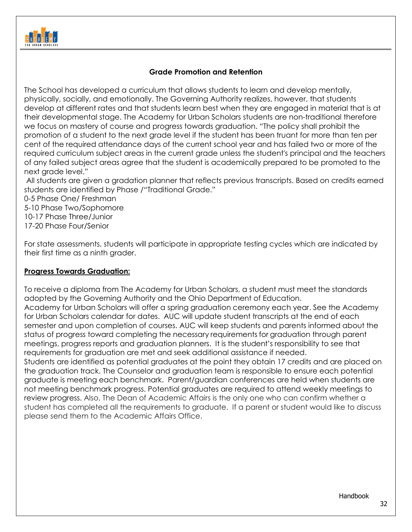

## **Grade Promotion and Retention**

The School has developed a curriculum that allows students to learn and develop mentally, physically, socially, and emotionally. The Governing Authority realizes, however, that students develop at different rates and that students learn best when they are engaged in material that is at their developmental stage. The Academy for Urban Scholars students are non-traditional therefore we focus on mastery of course and progress towards graduation. "The policy shall prohibit the promotion of a student to the next grade level if the student has been truant for more than ten per cent of the required attendance days of the current school year and has failed two or more of the required curriculum subject areas in the current grade unless the student's principal and the teachers of any failed subject areas agree that the student is academically prepared to be promoted to the next grade level."

All students are given a gradation planner that reflects previous transcripts. Based on credits earned students are identified by Phase /"Traditional Grade."

0-5 Phase One/ Freshman 5-10 Phase Two/Sophomore 10-17 Phase Three/Junior 17-20 Phase Four/Senior

For state assessments, students will participate in appropriate testing cycles which are indicated by their first time as a ninth grader.

## **Progress Towards Graduation:**

To receive a diploma from The Academy for Urban Scholars, a student must meet the standards adopted by the Governing Authority and the Ohio Department of Education. Academy for Urban Scholars will offer a spring graduation ceremony each year. See the Academy for Urban Scholars calendar for dates. AUC will update student transcripts at the end of each semester and upon completion of courses. AUC will keep students and parents informed about the status of progress toward completing the necessary requirements for graduation through parent meetings, progress reports and graduation planners. It is the student's responsibility to see that requirements for graduation are met and seek additional assistance if needed. Students are identified as potential graduates at the point they obtain 17 credits and are placed on the graduation track. The Counselor and graduation team is responsible to ensure each potential graduate is meeting each benchmark. Parent/guardian conferences are held when students are not meeting benchmark progress. Potential graduates are required to attend weekly meetings to review progress. Also, The Dean of Academic Affairs is the only one who can confirm whether a student has completed all the requirements to graduate. If a parent or student would like to discuss please send them to the Academic Affairs Office.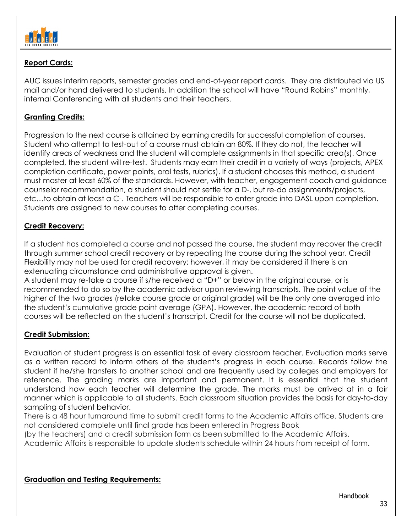

# **Report Cards:**

AUC issues interim reports, semester grades and end-of-year report cards. They are distributed via US mail and/or hand delivered to students. In addition the school will have "Round Robins" monthly, internal Conferencing with all students and their teachers.

# **Granting Credits:**

Progression to the next course is attained by earning credits for successful completion of courses. Student who attempt to test-out of a course must obtain an 80%. If they do not, the teacher will identify areas of weakness and the student will complete assignments in that specific area(s). Once completed, the student will re-test. Students may earn their credit in a variety of ways (projects, APEX completion certificate, power points, oral tests, rubrics). If a student chooses this method, a student must master at least 60% of the standards. However, with teacher, engagement coach and guidance counselor recommendation, a student should not settle for a D-, but re-do assignments/projects, etc…to obtain at least a C-. Teachers will be responsible to enter grade into DASL upon completion. Students are assigned to new courses to after completing courses.

## **Credit Recovery:**

If a student has completed a course and not passed the course, the student may recover the credit through summer school credit recovery or by repeating the course during the school year. Credit Flexibility may not be used for credit recovery; however, it may be considered if there is an extenuating circumstance and administrative approval is given.

A student may re-take a course if s/he received a "D+" or below in the original course, or is recommended to do so by the academic advisor upon reviewing transcripts. The point value of the higher of the two grades (retake course grade or original grade) will be the only one averaged into the student's cumulative grade point average (GPA). However, the academic record of both courses will be reflected on the student's transcript. Credit for the course will not be duplicated.

# **Credit Submission:**

Evaluation of student progress is an essential task of every classroom teacher. Evaluation marks serve as a written record to inform others of the student's progress in each course. Records follow the student if he/she transfers to another school and are frequently used by colleges and employers for reference. The grading marks are important and permanent. It is essential that the student understand how each teacher will determine the grade. The marks must be arrived at in a fair manner which is applicable to all students. Each classroom situation provides the basis for day-to-day sampling of student behavior.

There is a 48 hour turnaround time to submit credit forms to the Academic Affairs office. Students are not considered complete until final grade has been entered in Progress Book

(by the teachers) and a credit submission form as been submitted to the Academic Affairs.

Academic Affairs is responsible to update students schedule within 24 hours from receipt of form.

## **Graduation and Testing Requirements:**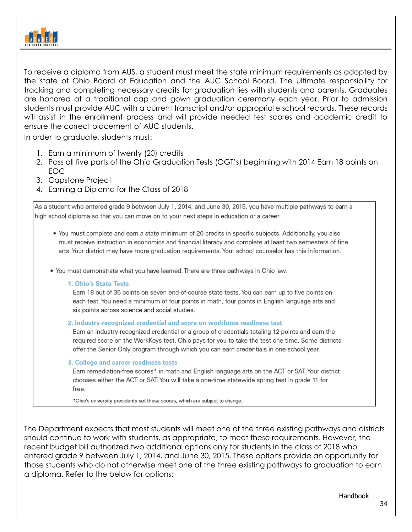

To receive a diploma from AUS, a student must meet the state minimum requirements as adopted by the state of Ohio Board of Education and the AUC School Board. The ultimate responsibility for tracking and completing necessary credits for graduation lies with students and parents. Graduates are honored at a traditional cap and gown graduation ceremony each year. Prior to admission students must provide AUC with a current transcript and/or appropriate school records. These records will assist in the enrollment process and will provide needed test scores and academic credit to ensure the correct placement of AUC students.

In order to graduate, students must:

- 1. Earn a minimum of twenty (20) credits
- 2. Pass all five parts of the Ohio Graduation Tests (OGT's) beginning with 2014 Earn 18 points on EOC
- 3. Capstone Project
- 4. Earning a Diploma for the Class of 2018

As a student who entered grade 9 between July 1, 2014, and June 30, 2015, you have multiple pathways to earn a high school diploma so that you can move on to your next steps in education or a career.

• You must complete and earn a state minimum of 20 credits in specific subjects. Additionally, you also must receive instruction in economics and financial literacy and complete at least two semesters of fine arts. Your district may have more graduation requirements. Your school counselor has this information.

. You must demonstrate what you have learned. There are three pathways in Ohio law.

#### 1. Ohio's State Tests

Earn 18 out of 35 points on seven end-of-course state tests. You can earn up to five points on each test. You need a minimum of four points in math, four points in English language arts and six points across science and social studies.

#### 2. Industry-recognized credential and score on workforce readiness test

Earn an industry-recognized credential or a group of credentials totaling 12 points and earn the required score on the WorkKeys test. Ohio pays for you to take the test one time. Some districts offer the Senior Only program through which you can earn credentials in one school year.

#### 3. College and career readiness tests

Earn remediation-free scores\* in math and English language arts on the ACT or SAT. Your district chooses either the ACT or SAT. You will take a one-time statewide spring test in grade 11 for free.

\*Ohio's university presidents set these scores, which are subject to change.

The Department expects that most students will meet one of the three existing pathways and districts should continue to work with students, as appropriate, to meet these requirements. However, the recent budget bill authorized two additional options only for students in the class of 2018 who entered grade 9 between July 1, 2014, and June 30, 2015. These options provide an opportunity for those students who do not otherwise meet one of the three existing pathways to graduation to earn a diploma. Refer to the below for options: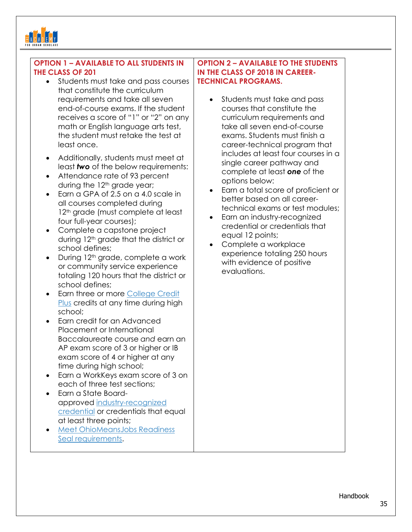

# **OPTION 1 – AVAILABLE TO ALL STUDENTS IN THE CLASS OF 201**

- Students must take and pass courses that constitute the curriculum requirements and take all seven end-of-course exams. If the student receives a score of "1" or "2" on any math or English language arts test, the student must retake the test at least once.
- Additionally, students must meet at least *two* of the below requirements:
- Attendance rate of 93 percent during the 12<sup>th</sup> grade year;
- Earn a GPA of 2.5 on a 4.0 scale in all courses completed during 12<sup>th</sup> grade (must complete at least) four full-year courses);
- Complete a capstone project during 12<sup>th</sup> grade that the district or school defines;
- During 12<sup>th</sup> grade, complete a work or community service experience totaling 120 hours that the district or school defines;
- Earn three or more [College Credit](https://www.ohiohighered.org/content/college_credit_plus_info_students_families)  [Plus](https://www.ohiohighered.org/content/college_credit_plus_info_students_families) credits at any time during high school;
- Earn credit for an Advanced Placement or International Baccalaureate course *and* earn an AP exam score of 3 or higher or IB exam score of 4 or higher at any time during high school;
- Earn a WorkKeys exam score of 3 on each of three test sections;
- Earn a State Boardapproved [industry-recognized](http://education.ohio.gov/Topics/Ohio-Graduation-Requirements/Graduation-Requirements/Industry-Recognized-Credentials-and-WorkKeys/Industry-Recognized-Credentials)  [credential](http://education.ohio.gov/Topics/Ohio-Graduation-Requirements/Graduation-Requirements/Industry-Recognized-Credentials-and-WorkKeys/Industry-Recognized-Credentials) or credentials that equal at least three points;
- [Meet OhioMeansJobs Readiness](http://education.ohio.gov/Topics/New-Skills-for-Youth/SuccessBound/OhioMeansJobs-Readiness-Seal)  [Seal requirements.](http://education.ohio.gov/Topics/New-Skills-for-Youth/SuccessBound/OhioMeansJobs-Readiness-Seal)

## **OPTION 2 – AVAILABLE TO THE STUDENTS IN THE CLASS OF 2018 IN CAREER-TECHNICAL PROGRAMS.**

- Students must take and pass courses that constitute the curriculum requirements and take all seven end-of-course exams. Students must finish a career-technical program that includes at least four courses in a single career pathway and complete at least *one* of the options below:
- Earn a total score of proficient or better based on all careertechnical exams or test modules;
- Earn an industry-recognized credential or credentials that equal 12 points;
- Complete a workplace experience totaling 250 hours with evidence of positive evaluations.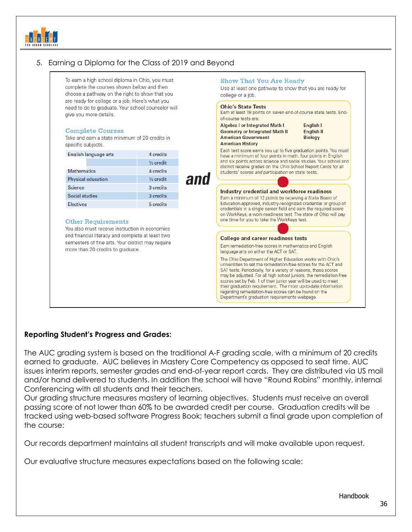

# 5. Earning a Diploma for the Class of 2019 and Beyond

| To earn a high school diploma in Ohio, you must<br>complete the courses shown below and then<br>choose a pathway on the right to show that you<br>are ready for college or a job. Here's what you<br>need to do to graduate. Your school counselor will<br>give you more details. |                        |
|-----------------------------------------------------------------------------------------------------------------------------------------------------------------------------------------------------------------------------------------------------------------------------------|------------------------|
|                                                                                                                                                                                                                                                                                   |                        |
| English language arts                                                                                                                                                                                                                                                             | 4 credits              |
|                                                                                                                                                                                                                                                                                   | 1/ <sub>2</sub> credit |
| <b>Mathematics</b>                                                                                                                                                                                                                                                                | 4 credits              |
| Physical education                                                                                                                                                                                                                                                                | 1/ <sub>2</sub> credit |
| Science                                                                                                                                                                                                                                                                           | 3 credits              |
| Social studies                                                                                                                                                                                                                                                                    | 3 credits              |
| <b>Electives</b>                                                                                                                                                                                                                                                                  | 5 credits              |
| <b>Other Requirements</b>                                                                                                                                                                                                                                                         |                        |
| You also must receive instruction in economics                                                                                                                                                                                                                                    |                        |
| and financial literacy and complete at least two<br>semesters of fine arts. Your district may require                                                                                                                                                                             |                        |
|                                                                                                                                                                                                                                                                                   |                        |
| more than 20 credits to graduate.                                                                                                                                                                                                                                                 |                        |

## **Reporting Student's Progress and Grades:**

The AUC grading system is based on the traditional A-F grading scale, with a minimum of 20 credits earned to graduate. AUC believes in Mastery Core Competency as opposed to seat time. AUC issues interim reports, semester grades and end-of-year report cards. They are distributed via US mail and/or hand delivered to students. In addition the school will have "Round Robins" monthly, internal Conferencing with all students and their teachers.

Our grading structure measures mastery of learning objectives. Students must receive an overall passing score of not lower than 60% to be awarded credit per course. Graduation credits will be tracked using web-based software Progress Book; teachers submit a final grade upon completion of the course:

Our records department maintains all student transcripts and will make available upon request.

Our evaluative structure measures expectations based on the following scale: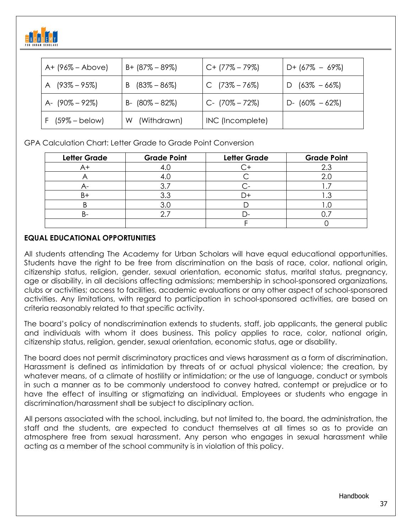

| $A + (96\% - Above)$ | $B + (87\% - 89\%)$ | $C+$ (77% – 79%)    | $D+$ (67% – 69%)   |
|----------------------|---------------------|---------------------|--------------------|
| A $(93\% - 95\%)$    | (83% – 86%)<br>B    | $C$ (73% – 76%)     | $D$ (63% – 66%)    |
| A- (90% – 92%)       | $B - (80\% - 82\%)$ | $C - (70\% - 72\%)$ | D- $(60\% - 62\%)$ |
| $F$ (59% – below)    | (Withdrawn)<br>W    | INC (Incomplete)    |                    |

GPA Calculation Chart: Letter Grade to Grade Point Conversion

| <b>Letter Grade</b> | <b>Grade Point</b> | <b>Letter Grade</b> | <b>Grade Point</b> |
|---------------------|--------------------|---------------------|--------------------|
|                     |                    |                     |                    |
|                     |                    |                     |                    |
|                     |                    |                     |                    |
|                     | 3.3                |                     | $\cdot$            |
|                     |                    |                     |                    |
|                     |                    |                     |                    |
|                     |                    |                     |                    |

## **EQUAL EDUCATIONAL OPPORTUNITIES**

All students attending The Academy for Urban Scholars will have equal educational opportunities. Students have the right to be free from discrimination on the basis of race, color, national origin, citizenship status, religion, gender, sexual orientation, economic status, marital status, pregnancy, age or disability, in all decisions affecting admissions; membership in school-sponsored organizations, clubs or activities; access to facilities, academic evaluations or any other aspect of school-sponsored activities. Any limitations, with regard to participation in school-sponsored activities, are based on criteria reasonably related to that specific activity.

The board's policy of nondiscrimination extends to students, staff, job applicants, the general public and individuals with whom it does business. This policy applies to race, color, national origin, citizenship status, religion, gender, sexual orientation, economic status, age or disability.

The board does not permit discriminatory practices and views harassment as a form of discrimination. Harassment is defined as intimidation by threats of or actual physical violence; the creation, by whatever means, of a climate of hostility or intimidation; or the use of language, conduct or symbols in such a manner as to be commonly understood to convey hatred, contempt or prejudice or to have the effect of insulting or stigmatizing an individual. Employees or students who engage in discrimination/harassment shall be subject to disciplinary action.

All persons associated with the school, including, but not limited to, the board, the administration, the staff and the students, are expected to conduct themselves at all times so as to provide an atmosphere free from sexual harassment. Any person who engages in sexual harassment while acting as a member of the school community is in violation of this policy.